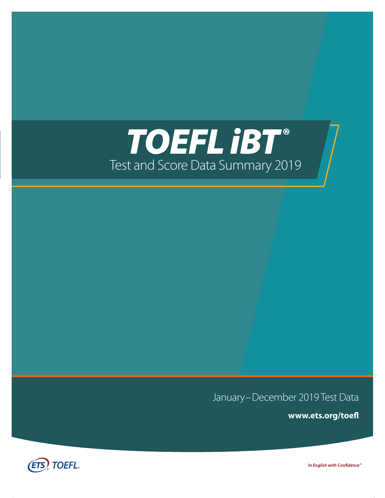# *TOEFL iBT®* Test and Score Data Summary 2019

January–December 2019 Test Data

**[www.ets.org/toefl](http://www.ets.org/toefl)**



In English with Confidence<sup>™</sup>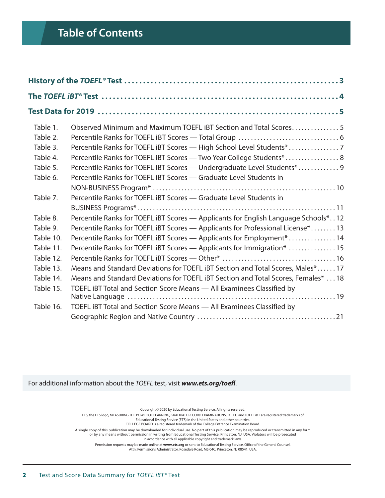# **Table of Contents**

| Table 1.  | Observed Minimum and Maximum TOEFL IBT Section and Total Scores5                   |
|-----------|------------------------------------------------------------------------------------|
| Table 2.  |                                                                                    |
| Table 3.  | Percentile Ranks for TOEFL IBT Scores - High School Level Students*                |
| Table 4.  | Percentile Ranks for TOEFL IBT Scores - Two Year College Students*  8              |
| Table 5.  | Percentile Ranks for TOEFL iBT Scores - Undergraduate Level Students* 9            |
| Table 6.  | Percentile Ranks for TOEFL IBT Scores - Graduate Level Students in                 |
|           |                                                                                    |
| Table 7.  | Percentile Ranks for TOEFL IBT Scores - Graduate Level Students in                 |
|           |                                                                                    |
| Table 8.  | Percentile Ranks for TOEFL IBT Scores - Applicants for English Language Schools*12 |
| Table 9.  | Percentile Ranks for TOEFL IBT Scores - Applicants for Professional License*13     |
| Table 10. | Percentile Ranks for TOEFL IBT Scores - Applicants for Employment <sup>*</sup> 14  |
| Table 11. | Percentile Ranks for TOEFL IBT Scores - Applicants for Immigration* 15             |
| Table 12. |                                                                                    |
| Table 13. | Means and Standard Deviations for TOEFL IBT Section and Total Scores, Males*17     |
| Table 14. | Means and Standard Deviations for TOEFL IBT Section and Total Scores, Females*  18 |
| Table 15. | TOEFL IBT Total and Section Score Means - All Examinees Classified by              |
|           |                                                                                    |
| Table 16. | TOEFL IBT Total and Section Score Means - All Examinees Classified by              |
|           |                                                                                    |

For additional information about the *TOEFL* test, visit *[www.ets.org/toefl](http://www.ets.org/toefl)*.

Copyright © 2020 by Educational Testing Service. All rights reserved. ETS, the ETS logo, MEASURING THE POWER OF LEARNING, GRADUATE RECORD EXAMINATIONS, TOEFL, and TOEFL IBT are registered trademarks of Educational Testing Service (E T S) in the United States and other countries. COLLEGE BOARD is a registered trademark of the College Entrance Examination Board. A single copy of this publication may be downloaded for individual use. No part of this publication may be reproduced or transmitted in any form<br>or by any means without permission in writing from Educational Testing Servic in accordance with all applicable copyright and trademark laws. Permission requests may be made online at **[www.ets.org](http://www.ets.org)** or sent to Educational Testing Service, Office of the General Counsel,

Attn: Permissions Administrator, Rosedale Road, MS 04C, Princeton, NJ 08541, USA.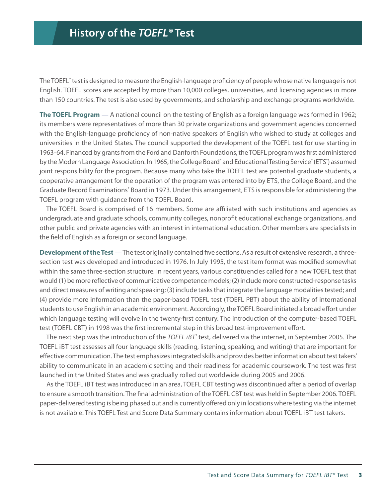<span id="page-2-0"></span>The TOEFL® test is designed to measure the English-language proficiency of people whose native language is not English. TOEFL scores are accepted by more than 10,000 colleges, universities, and licensing agencies in more than 150 countries. The test is also used by governments, and scholarship and exchange programs worldwide.

**The TOEFL Program** — A national council on the testing of English as a foreign language was formed in 1962; its members were representatives of more than 30 private organizations and government agencies concerned with the English-language proficiency of non-native speakers of English who wished to study at colleges and universities in the United States. The council supported the development of the TOEFL test for use starting in 1963-64. Financed by grants from the Ford and Danforth Foundations, the TOEFL program was first administered by the Modern Language Association. In 1965, the College Board<sup>®</sup> and Educational Testing Service® (ETS®) assumed joint responsibility for the program. Because many who take the TOEFL test are potential graduate students, a cooperative arrangement for the operation of the program was entered into by ETS, the College Board, and the Graduate Record Examinations<sup>®</sup> Board in 1973. Under this arrangement, ETS is responsible for administering the TOEFL program with guidance from the TOEFL Board.

The TOEFL Board is comprised of 16 members. Some are affiliated with such institutions and agencies as undergraduate and graduate schools, community colleges, nonprofit educational exchange organizations, and other public and private agencies with an interest in international education. Other members are specialists in the field of English as a foreign or second language.

**Development of the Test** — The test originally contained five sections. As a result of extensive research, a threesection test was developed and introduced in 1976. In July 1995, the test item format was modified somewhat within the same three-section structure. In recent years, various constituencies called for a new TOEFL test that would (1) be more reflective of communicative competence models; (2) include more constructed-response tasks and direct measures of writing and speaking; (3) include tasks that integrate the language modalities tested; and (4) provide more information than the paper-based TOEFL test (TOEFL PBT) about the ability of international students to use English in an academic environment. Accordingly, the TOEFL Board initiated a broad effort under which language testing will evolve in the twenty-first century. The introduction of the computer-based TOEFL test (TOEFL CBT) in 1998 was the first incremental step in this broad test-improvement effort.

The next step was the introduction of the *TOEFL iBT*<sup>®</sup> test, delivered via the internet, in September 2005. The TOEFL IBT test assesses all four language skills (reading, listening, speaking, and writing) that are important for effective communication. The test emphasizes integrated skills and provides better information about test takers' ability to communicate in an academic setting and their readiness for academic coursework. The test was first launched in the United States and was gradually rolled out worldwide during 2005 and 2006.

As the TOEFL IBT test was introduced in an area, TOEFL CBT testing was discontinued after a period of overlap to ensure a smooth transition. The final administration of the TOEFL CBT test was held in September 2006. TOEFL paper-delivered testing is being phased out and is currently offered only in locations where testing via the internet is not available. This TOEFL Test and Score Data Summary contains information about TOEFL IBT test takers.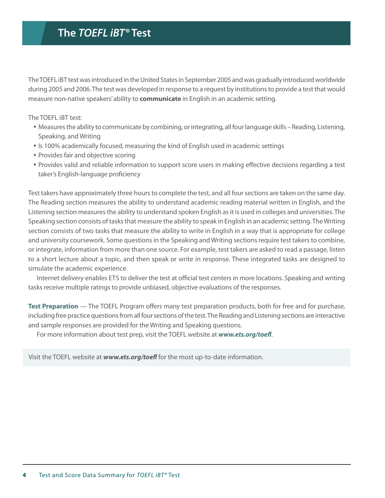# <span id="page-3-0"></span>**The** *TOEFL iBT®* **Test**

The TOEFL iBT test was introduced in the United States in September 2005 and was gradually introduced worldwide during 2005 and 2006. The test was developed in response to a request by institutions to provide a test that would measure non-native speakers' ability to **communicate** in English in an academic setting.

The TOEFL iBT test:

- y Measures the ability to communicate by combining, or integrating, all four language skills Reading, Listening, Speaking, and Writing
- Is 100% academically focused, measuring the kind of English used in academic settings
- Provides fair and objective scoring
- Provides valid and reliable information to support score users in making effective decisions regarding a test taker's English-language proficiency

Test takers have approximately three hours to complete the test, and all four sections are taken on the same day. The Reading section measures the ability to understand academic reading material written in English, and the Listening section measures the ability to understand spoken English as it is used in colleges and universities. The Speaking section consists of tasks that measure the ability to speak in English in an academic setting. The Writing section consists of two tasks that measure the ability to write in English in a way that is appropriate for college and university coursework. Some questions in the Speaking and Writing sections require test takers to combine, or integrate, information from more than one source. For example, test takers are asked to read a passage, listen to a short lecture about a topic, and then speak or write in response. These integrated tasks are designed to simulate the academic experience.

Internet delivery enables ETS to deliver the test at official test centers in more locations. Speaking and writing tasks receive multiple ratings to provide unbiased, objective evaluations of the responses.

**Test Preparation** — The TOEFL Program offers many test preparation products, both for free and for purchase, including free practice questions from all four sections of the test. The Reading and Listening sections are interactive and sample responses are provided for the Writing and Speaking questions.

For more information about test prep, visit the TOEFL website at *[www.ets.org/toefl](http://www.ets.org/toefl)*.

Visit the TOEFL website at *[www.ets.org/toefl](http://www.ets.org/toefl)* for the most up-to-date information.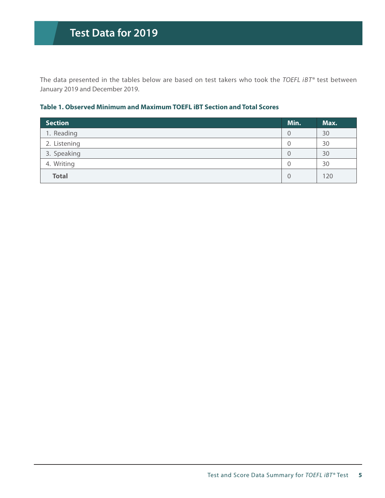<span id="page-4-0"></span>The data presented in the tables below are based on test takers who took the *TOEFL iBT®* test between January 2019 and December 2019.

#### **Table 1. Observed Minimum and Maximum TOEFL iBT Section and Total Scores**

| <b>Section</b> | Min.           | Max. |
|----------------|----------------|------|
| 1. Reading     | $\overline{0}$ | 30   |
| 2. Listening   | 0              | 30   |
| 3. Speaking    | $\overline{0}$ | 30   |
| 4. Writing     | $\mathbf{0}$   | 30   |
| <b>Total</b>   | $\overline{0}$ | 120  |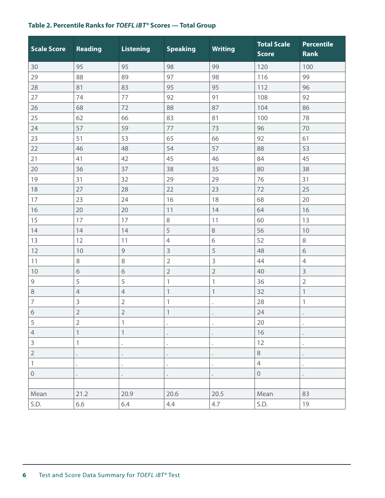# <span id="page-5-0"></span>**Table 2. Percentile Ranks for** *TOEFL i B T®* **Scores — Total Group**

| <b>Scale Score</b> | <b>Reading</b> | <b>Listening</b>          | <b>Speaking</b> | <b>Writing</b>            | <b>Total Scale</b><br><b>Score</b> | <b>Percentile</b><br><b>Rank</b> |
|--------------------|----------------|---------------------------|-----------------|---------------------------|------------------------------------|----------------------------------|
| 30                 | 95             | 95                        | 98              | 99                        | 120                                | 100                              |
| 29                 | 88             | 89                        | 97              | 98                        | 116                                | 99                               |
| 28                 | 81             | 83                        | 95              | 95                        | 112                                | 96                               |
| 27                 | 74             | 77                        | 92              | 91                        | 108                                | 92                               |
| 26                 | 68             | 72                        | 88              | 87                        | 104                                | 86                               |
| 25                 | 62             | 66                        | 83              | 81                        | 100                                | 78                               |
| 24                 | 57             | 59                        | 77              | 73                        | 96                                 | 70                               |
| 23                 | 51             | 53                        | 65              | 66                        | 92                                 | 61                               |
| 22                 | 46             | 48                        | 54              | 57                        | 88                                 | 53                               |
| 21                 | 41             | 42                        | 45              | 46                        | 84                                 | 45                               |
| 20                 | 36             | 37                        | 38              | 35                        | 80                                 | 38                               |
| 19                 | 31             | 32                        | 29              | 29                        | 76                                 | 31                               |
| 18                 | 27             | 28                        | 22              | 23                        | 72                                 | 25                               |
| 17                 | 23             | 24                        | 16              | 18                        | 68                                 | 20                               |
| 16                 | 20             | 20                        | 11              | 14                        | 64                                 | 16                               |
| 15                 | 17             | 17                        | $\,8\,$         | 11                        | 60                                 | 13                               |
| 14                 | 14             | 14                        | 5               | 8                         | 56                                 | 10                               |
| 13                 | 12             | 11                        | $\overline{4}$  | $\sqrt{6}$                | 52                                 | $\,8\,$                          |
| 12                 | 10             | 9                         | 3               | 5                         | 48                                 | 6                                |
| 11                 | $\,8\,$        | $\,8\,$                   | $\overline{2}$  | 3                         | 44                                 | $\overline{4}$                   |
| 10                 | $\sqrt{6}$     | $\sqrt{6}$                | $\sqrt{2}$      | $\overline{2}$            | 40                                 | $\mathsf 3$                      |
| $\mathsf 9$        | 5              | 5                         | 1               | $\mathbf{1}$              | 36                                 | $\overline{2}$                   |
| $\,8\,$            | $\overline{4}$ | $\overline{4}$            | $\mathbf{1}$    | $\ensuremath{\mathbb{1}}$ | 32                                 | $\mathbbm{1}$                    |
| $\overline{7}$     | $\mathsf{3}$   | $\overline{2}$            | $\mathbf 1$     |                           | 28                                 | 1                                |
| $\sqrt{6}$         | $\overline{2}$ | $\overline{2}$            | $\mathbf{1}$    | $\bullet$                 | 24                                 |                                  |
| 5                  | $\overline{2}$ | $\ensuremath{\mathsf{1}}$ |                 |                           | 20                                 |                                  |
| $\overline{4}$     | $\mathbf{1}$   | $\mathbf{1}$              |                 |                           | 16                                 |                                  |
| $\overline{3}$     | $\mathbf{1}$   |                           |                 |                           | 12                                 |                                  |
| $\overline{2}$     |                |                           |                 |                           | $\,8\,$                            |                                  |
| $\mathbf{1}$       |                | $\ddot{\phantom{0}}$      |                 |                           | $\overline{4}$                     |                                  |
| $\mathbf 0$        |                |                           |                 |                           | $\mathbf 0$                        |                                  |
|                    |                |                           |                 |                           |                                    |                                  |
| Mean               | 21.2           | 20.9                      | 20.6            | 20.5                      | Mean                               | 83                               |
| S.D.               | 6.6            | 6.4                       | 4,4             | 4.7                       | S.D.                               | 19                               |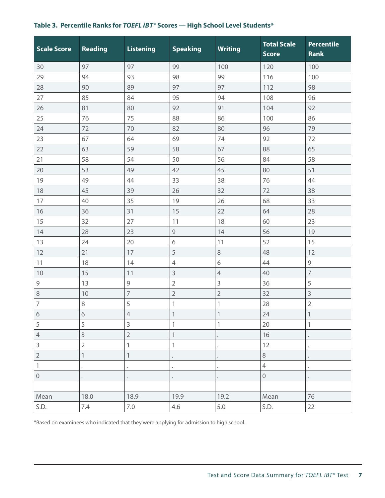<span id="page-6-0"></span>

|  | Table 3. Percentile Ranks for <i>TOEFL iBT®</i> Scores — High School Level Students* |
|--|--------------------------------------------------------------------------------------|
|  |                                                                                      |

| <b>Scale Score</b>        | Reading                   | <b>Listening</b>          | <b>Speaking</b>           | <b>Writing</b> | <b>Total Scale</b><br><b>Score</b> | <b>Percentile</b><br><b>Rank</b> |
|---------------------------|---------------------------|---------------------------|---------------------------|----------------|------------------------------------|----------------------------------|
| 30                        | 97                        | 97                        | 99                        | 100            | 120                                | 100                              |
| 29                        | 94                        | 93                        | 98                        | 99             | 116                                | 100                              |
| 28                        | 90                        | 89                        | 97                        | 97             | 112                                | 98                               |
| 27                        | 85                        | 84                        | 95                        | 94             | 108                                | 96                               |
| 26                        | 81                        | 80                        | 92                        | 91             | 104                                | 92                               |
| 25                        | 76                        | 75                        | 88                        | 86             | 100                                | 86                               |
| 24                        | 72                        | 70                        | 82                        | 80             | 96                                 | 79                               |
| 23                        | 67                        | 64                        | 69                        | 74             | 92                                 | 72                               |
| 22                        | 63                        | 59                        | 58                        | 67             | 88                                 | 65                               |
| 21                        | 58                        | 54                        | 50                        | 56             | 84                                 | 58                               |
| 20                        | 53                        | 49                        | 42                        | 45             | 80                                 | 51                               |
| 19                        | 49                        | 44                        | 33                        | 38             | 76                                 | 44                               |
| 18                        | 45                        | 39                        | 26                        | 32             | 72                                 | 38                               |
| 17                        | 40                        | 35                        | 19                        | 26             | 68                                 | 33                               |
| 16                        | 36                        | 31                        | 15                        | 22             | 64                                 | 28                               |
| 15                        | 32                        | 27                        | 11                        | 18             | 60                                 | 23                               |
| 14                        | 28                        | 23                        | 9                         | 14             | 56                                 | 19                               |
| 13                        | 24                        | 20                        | 6                         | 11             | 52                                 | 15                               |
| 12                        | 21                        | 17                        | 5                         | $\,8\,$        | 48                                 | 12                               |
| 11                        | 18                        | 14                        | $\sqrt{4}$                | 6              | 44                                 | $\mathsf 9$                      |
| $10$                      | 15                        | 11                        | 3                         | $\overline{4}$ | 40                                 | $\overline{7}$                   |
| $\mathsf 9$               | 13                        | $\mathsf 9$               | $\overline{2}$            | 3              | 36                                 | 5                                |
| 8                         | 10                        | $\overline{7}$            | $\overline{2}$            | $\overline{2}$ | 32                                 | $\mathsf{3}$                     |
| $\overline{7}$            | $\,8\,$                   | 5                         | $\mathbf{1}$              | $\mathbf 1$    | 28                                 | $\overline{2}$                   |
| $\sqrt{6}$                | $\overline{6}$            | $\overline{4}$            | $\mathbf{1}$              | $\mathbf{1}$   | 24                                 | $\mathbf{1}$                     |
| 5                         | 5                         | $\mathsf 3$               | 1                         | 1              | 20                                 | 1                                |
| $\overline{4}$            | 3                         | $\overline{2}$            | $\ensuremath{\mathsf{1}}$ |                | 16                                 |                                  |
| 3                         | $\overline{2}$            | $\mathbbm{1}$             | 1                         |                | 12                                 |                                  |
| $\overline{c}$            | $\ensuremath{\mathbb{1}}$ | $\ensuremath{\mathsf{1}}$ |                           |                | $\,8\,$                            |                                  |
| $\ensuremath{\mathsf{1}}$ |                           |                           |                           |                | $\sqrt{4}$                         |                                  |
| $\mathbf 0$               |                           |                           |                           |                | $\mathbf 0$                        |                                  |
|                           |                           |                           |                           |                |                                    |                                  |
| Mean                      | 18.0                      | 18.9                      | 19.9                      | 19.2           | Mean                               | 76                               |
| S.D.                      | 7.4                       | $7.0\,$                   | 4.6                       | 5.0            | S.D.                               | 22                               |

\*Based on examinees who indicated that they were applying for admission to high school.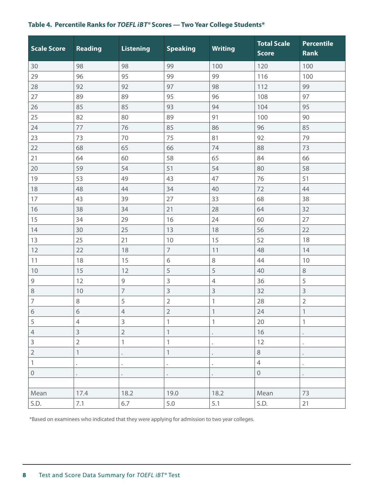# <span id="page-7-0"></span>**Table 4. Percentile Ranks for** *TOEFL i B T®* **Scores — Two Year College Students\***

| <b>Scale Score</b> | <b>Reading</b> | <b>Listening</b> | <b>Speaking</b>           | <b>Writing</b>            | <b>Total Scale</b><br><b>Score</b> | <b>Percentile</b><br><b>Rank</b> |
|--------------------|----------------|------------------|---------------------------|---------------------------|------------------------------------|----------------------------------|
| 30                 | 98             | 98               | 99                        | 100                       | 120                                | 100                              |
| 29                 | 96             | 95               | 99                        | 99                        | 116                                | 100                              |
| 28                 | 92             | 92               | 97                        | 98                        | 112                                | 99                               |
| 27                 | 89             | 89               | 95                        | 96                        | 108                                | 97                               |
| 26                 | 85             | 85               | 93                        | 94                        | 104                                | 95                               |
| 25                 | 82             | 80               | 89                        | 91                        | 100                                | 90                               |
| 24                 | 77             | 76               | 85                        | 86                        | 96                                 | 85                               |
| 23                 | 73             | 70               | 75                        | 81                        | 92                                 | 79                               |
| 22                 | 68             | 65               | 66                        | 74                        | 88                                 | 73                               |
| 21                 | 64             | 60               | 58                        | 65                        | 84                                 | 66                               |
| 20                 | 59             | 54               | 51                        | 54                        | 80                                 | 58                               |
| 19                 | 53             | 49               | 43                        | 47                        | 76                                 | 51                               |
| 18                 | 48             | 44               | 34                        | 40                        | 72                                 | 44                               |
| 17                 | 43             | 39               | 27                        | 33                        | 68                                 | 38                               |
| 16                 | 38             | 34               | 21                        | 28                        | 64                                 | 32                               |
| 15                 | 34             | 29               | 16                        | 24                        | 60                                 | 27                               |
| 14                 | 30             | 25               | 13                        | 18                        | 56                                 | 22                               |
| 13                 | 25             | 21               | 10                        | 15                        | 52                                 | 18                               |
| 12                 | 22             | 18               | $\overline{7}$            | 11                        | 48                                 | 14                               |
| 11                 | 18             | 15               | 6                         | $\,8\,$                   | 44                                 | 10                               |
| 10                 | 15             | 12               | 5                         | 5                         | 40                                 | $\,8\,$                          |
| $\mathsf 9$        | 12             | 9                | $\mathsf 3$               | $\overline{4}$            | 36                                 | 5                                |
| $\,8\,$            | 10             | $\overline{7}$   | $\mathsf 3$               | 3                         | 32                                 | $\mathsf 3$                      |
| $\overline{7}$     | 8              | 5                | $\overline{2}$            | $\mathbf{1}$              | 28                                 | $\overline{2}$                   |
| $\sqrt{6}$         | $\sqrt{6}$     | $\overline{4}$   | $\sqrt{2}$                | $\ensuremath{\mathsf{1}}$ | 24                                 | $\mathbf{1}$                     |
| 5                  | $\overline{4}$ | 3                | 1                         | 1                         | 20                                 | $\mathbf{1}$                     |
| $\overline{4}$     | 3              | $\overline{2}$   | $\mathbf{1}$              |                           | 16                                 |                                  |
| $\mathsf 3$        | $\overline{2}$ | $\mathbb{1}$     | $\mathbf{1}$              |                           | 12                                 |                                  |
| $\overline{c}$     | $\mathbf{1}$   |                  | $\ensuremath{\mathsf{1}}$ |                           | 8                                  |                                  |
| $\,1\,$            |                | $\bullet$        |                           |                           | $\overline{4}$                     |                                  |
| $\mathbf 0$        |                | $\bullet$        |                           |                           | $\mathbf 0$                        |                                  |
|                    |                |                  |                           |                           |                                    |                                  |
| Mean               | 17.4           | 18.2             | 19.0                      | 18.2                      | Mean                               | 73                               |
| S.D.               | 7.1            | 6.7              | $5.0\,$                   | 5.1                       | S.D.                               | 21                               |

\* Based on examinees who indicated that they were applying for admission to two year colleges.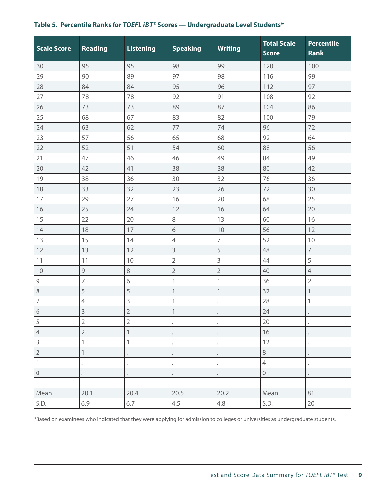# <span id="page-8-0"></span>**Table 5. Percentile Ranks for** *TOEFL i B T®* **Scores — Undergraduate Level Students\***

| <b>Scale Score</b>        | <b>Reading</b> | <b>Listening</b>          | <b>Speaking</b> | <b>Writing</b> | <b>Total Scale</b><br><b>Score</b> | <b>Percentile</b><br><b>Rank</b> |
|---------------------------|----------------|---------------------------|-----------------|----------------|------------------------------------|----------------------------------|
| 30                        | 95             | 95                        | 98              | 99             | 120                                | 100                              |
| 29                        | 90             | 89                        | 97              | 98             | 116                                | 99                               |
| 28                        | 84             | 84                        | 95              | 96             | 112                                | 97                               |
| 27                        | 78             | 78                        | 92              | 91             | 108                                | 92                               |
| 26                        | 73             | 73                        | 89              | 87             | 104                                | 86                               |
| 25                        | 68             | 67                        | 83              | 82             | 100                                | 79                               |
| 24                        | 63             | 62                        | 77              | 74             | 96                                 | 72                               |
| 23                        | 57             | 56                        | 65              | 68             | 92                                 | 64                               |
| 22                        | 52             | 51                        | 54              | 60             | 88                                 | 56                               |
| 21                        | 47             | 46                        | 46              | 49             | 84                                 | 49                               |
| 20                        | 42             | 41                        | 38              | 38             | 80                                 | 42                               |
| 19                        | 38             | 36                        | 30              | 32             | 76                                 | 36                               |
| 18                        | 33             | 32                        | 23              | 26             | 72                                 | 30                               |
| 17                        | 29             | 27                        | 16              | 20             | 68                                 | 25                               |
| 16                        | 25             | 24                        | 12              | 16             | 64                                 | 20                               |
| 15                        | 22             | 20                        | 8               | 13             | 60                                 | 16                               |
| 14                        | 18             | 17                        | 6               | 10             | 56                                 | 12                               |
| 13                        | 15             | 14                        | $\overline{4}$  | $\overline{7}$ | 52                                 | 10                               |
| 12                        | 13             | 12                        | 3               | 5              | 48                                 | $\overline{7}$                   |
| 11                        | 11             | 10                        | $\overline{2}$  | $\overline{3}$ | 44                                 | 5                                |
| $10$                      | $\mathfrak{g}$ | $\,8\,$                   | $\overline{2}$  | $\overline{2}$ | 40                                 | $\overline{4}$                   |
| $\mathsf 9$               | 7              | $\sqrt{6}$                | 1               | $\mathbf{1}$   | 36                                 | $\overline{2}$                   |
| $\,8\,$                   | 5              | 5                         | $\mathbf{1}$    | $\mathbf{1}$   | 32                                 | $\mathbf{1}$                     |
| $\overline{7}$            | $\overline{4}$ | $\overline{3}$            | $\mathbf{1}$    |                | 28                                 | 1                                |
| $\sqrt{6}$                | 3              | $\overline{2}$            | $\mathbf{1}$    |                | 24                                 |                                  |
| 5                         | $\overline{2}$ | $\overline{2}$            |                 |                | 20                                 |                                  |
| $\overline{4}$            | $\overline{2}$ | $\ensuremath{\mathsf{1}}$ |                 |                | 16                                 |                                  |
| $\mathsf{3}$              | 1              | $\mathbf 1$               |                 |                | 12                                 |                                  |
| $\overline{2}$            | $\mathbf 1$    |                           |                 |                | $\,8\,$                            |                                  |
| $\ensuremath{\mathsf{1}}$ |                |                           |                 |                | $\overline{4}$                     |                                  |
| $\mathbf 0$               |                |                           |                 |                | $\mathbf 0$                        |                                  |
|                           |                |                           |                 |                |                                    |                                  |
| Mean                      | 20.1           | 20.4                      | 20.5            | 20.2           | Mean                               | 81                               |
| S.D.                      | 6.9            | 6.7                       | 4.5             | 4.8            | S.D.                               | 20                               |

\*Based on examinees who indicated that they were applying for admission to colleges or universities as undergraduate students.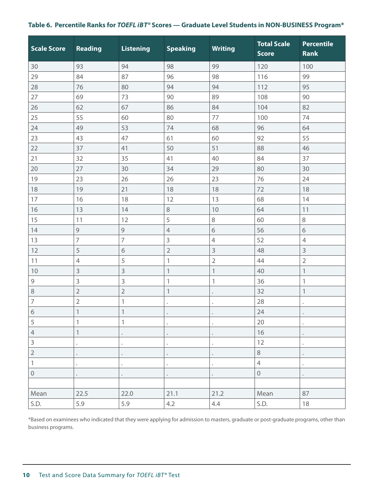# <span id="page-9-0"></span>Table 6. Percentile Ranks for *TOEFL iBT®* Scores — Graduate Level Students in NON-BUSINESS Program\*

| <b>Scale Score</b> | Reading                   | <b>Listening</b>          | <b>Speaking</b>      | <b>Writing</b>       | <b>Total Scale</b><br><b>Score</b> | <b>Percentile</b><br><b>Rank</b> |
|--------------------|---------------------------|---------------------------|----------------------|----------------------|------------------------------------|----------------------------------|
| 30                 | 93                        | 94                        | 98                   | 99                   | 120                                | 100                              |
| 29                 | 84                        | 87                        | 96                   | 98                   | 116                                | 99                               |
| 28                 | 76                        | 80                        | 94                   | 94                   | 112                                | 95                               |
| 27                 | 69                        | 73                        | 90                   | 89                   | 108                                | 90                               |
| 26                 | 62                        | 67                        | 86                   | 84                   | 104                                | 82                               |
| 25                 | 55                        | 60                        | 80                   | 77                   | 100                                | 74                               |
| 24                 | 49                        | 53                        | 74                   | 68                   | 96                                 | 64                               |
| 23                 | 43                        | 47                        | 61                   | 60                   | 92                                 | 55                               |
| 22                 | 37                        | 41                        | 50                   | 51                   | 88                                 | 46                               |
| 21                 | 32                        | 35                        | 41                   | 40                   | 84                                 | 37                               |
| 20                 | 27                        | 30                        | 34                   | 29                   | 80                                 | 30                               |
| 19                 | 23                        | 26                        | 26                   | 23                   | 76                                 | 24                               |
| 18                 | 19                        | 21                        | 18                   | 18                   | 72                                 | 18                               |
| 17                 | 16                        | 18                        | 12                   | 13                   | 68                                 | 14                               |
| 16                 | 13                        | 14                        | $\,8\,$              | 10                   | 64                                 | 11                               |
| 15                 | 11                        | 12                        | 5                    | 8                    | 60                                 | 8                                |
| 14                 | 9                         | $\mathcal{G}$             | $\overline{4}$       | 6                    | 56                                 | 6                                |
| 13                 | $\overline{7}$            | $\overline{7}$            | $\mathsf 3$          | $\overline{4}$       | 52                                 | $\overline{4}$                   |
| 12                 | 5                         | 6                         | $\overline{2}$       | $\overline{3}$       | 48                                 | $\mathsf 3$                      |
| 11                 | $\overline{4}$            | 5                         | $\mathbf{1}$         | $\overline{2}$       | 44                                 | $\overline{2}$                   |
| 10                 | 3                         | 3                         | $\mathbf{1}$         | $\mathbf{1}$         | 40                                 | $\mathbf{1}$                     |
| $\mathsf 9$        | 3                         | 3                         | 1                    | $\mathbf{1}$         | 36                                 | 1                                |
| $\,8\,$            | $\overline{2}$            | $\overline{2}$            | $\mathbf{1}$         | $\bullet$            | 32                                 | $\mathbf{1}$                     |
| $\overline{7}$     | $\overline{2}$            | $\mathbbm{1}$             | $\ddot{\phantom{a}}$ | $\ddot{\phantom{0}}$ | 28                                 |                                  |
| $\sqrt{6}$         | $\mathbbm{1}$             | $\ensuremath{\mathbb{1}}$ | $\bullet$            | $\bullet$            | 24                                 | $\bullet$                        |
| 5                  | 1                         | 1                         |                      |                      | 20                                 |                                  |
| $\sqrt{4}$         | $\ensuremath{\mathsf{1}}$ | $\bullet$                 |                      | $\bullet$            | 16                                 |                                  |
| $\overline{3}$     |                           | $\bullet$                 |                      |                      | 12                                 |                                  |
| $\sqrt{2}$         |                           |                           |                      |                      | $\,8\,$                            |                                  |
| $\mathbf{1}$       |                           | $\bullet$                 |                      |                      | $\overline{4}$                     |                                  |
| $\mathbf 0$        |                           | $\ddot{\phantom{0}}$      |                      |                      | $\mathbf 0$                        |                                  |
|                    |                           |                           |                      |                      |                                    |                                  |
| Mean               | 22.5                      | 22.0                      | 21.1                 | 21.2                 | Mean                               | 87                               |
| S.D.               | 5.9                       | 5.9                       | 4.2                  | 4.4                  | S.D.                               | 18                               |

\*Based on examinees who indicated that they were applying for admission to masters, graduate or post-graduate programs, other than business programs.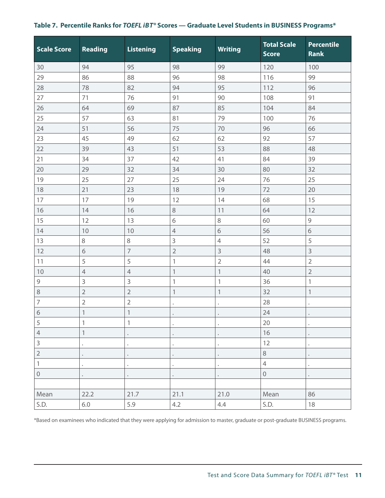| <b>Scale Score</b> | Reading        | <b>Listening</b>          | <b>Speaking</b> | <b>Writing</b>            | <b>Total Scale</b><br><b>Score</b> | <b>Percentile</b><br>Rank |
|--------------------|----------------|---------------------------|-----------------|---------------------------|------------------------------------|---------------------------|
| 30                 | 94             | 95                        | 98              | 99                        | 120                                | 100                       |
| 29                 | 86             | 88                        | 96              | 98                        | 116                                | 99                        |
| 28                 | 78             | 82                        | 94              | 95                        | 112                                | 96                        |
| 27                 | 71             | 76                        | 91              | 90                        | 108                                | 91                        |
| 26                 | 64             | 69                        | 87              | 85                        | 104                                | 84                        |
| 25                 | 57             | 63                        | 81              | 79                        | 100                                | 76                        |
| 24                 | 51             | 56                        | 75              | 70                        | 96                                 | 66                        |
| 23                 | 45             | 49                        | 62              | 62                        | 92                                 | 57                        |
| 22                 | 39             | 43                        | 51              | 53                        | 88                                 | 48                        |
| 21                 | 34             | 37                        | 42              | 41                        | 84                                 | 39                        |
| 20                 | 29             | 32                        | 34              | 30                        | 80                                 | 32                        |
| 19                 | 25             | 27                        | 25              | 24                        | 76                                 | 25                        |
| 18                 | 21             | 23                        | 18              | 19                        | 72                                 | 20                        |
| 17                 | 17             | 19                        | 12              | 14                        | 68                                 | 15                        |
| 16                 | 14             | 16                        | $\,8\,$         | 11                        | 64                                 | 12                        |
| 15                 | 12             | 13                        | $\sqrt{6}$      | $\, 8$                    | 60                                 | $\mathsf 9$               |
| 14                 | 10             | 10                        | $\overline{4}$  | $\sqrt{6}$                | 56                                 | $\sqrt{6}$                |
| 13                 | $\, 8$         | $\,8\,$                   | 3               | $\overline{4}$            | 52                                 | 5                         |
| 12                 | $\sqrt{6}$     | $\overline{7}$            | $\overline{2}$  | $\mathsf 3$               | 48                                 | $\mathsf 3$               |
| 11                 | 5              | 5                         | 1               | $\overline{2}$            | 44                                 | $\overline{2}$            |
| 10                 | $\overline{4}$ | $\overline{4}$            | $\mathbf{1}$    | $\ensuremath{\mathbb{1}}$ | 40                                 | $\sqrt{2}$                |
| $\mathsf 9$        | $\mathsf 3$    | 3                         | 1               | $\mathbf{1}$              | 36                                 | $\mathbf{1}$              |
| $\,8\,$            | $\overline{2}$ | $\overline{2}$            | $\mathbf{1}$    | $\mathbf{1}$              | 32                                 | $\mathbf{1}$              |
| $\overline{7}$     | $\overline{2}$ | $\overline{2}$            |                 | ٠                         | 28                                 |                           |
| $\sqrt{6}$         | $\mathbf{1}$   | $\ensuremath{\mathsf{1}}$ |                 |                           | 24                                 |                           |
| 5                  | $\mathbf{1}$   | $\mathbf{1}$              |                 |                           | $20\,$                             |                           |
| $\sqrt{4}$         | $\mathbf{1}$   | $\bullet$                 |                 |                           | 16                                 |                           |
| $\mathsf 3$        | $\bullet$      | $\bullet$                 |                 |                           | 12                                 |                           |
| $\overline{2}$     |                | $\bullet$                 |                 |                           | $\,8\,$                            |                           |
| $\mathbf{1}$       |                | $\ddot{\phantom{0}}$      |                 |                           | $\overline{4}$                     |                           |
| $\mathbf 0$        |                | $\bullet$                 |                 |                           | $\mathbf 0$                        |                           |
|                    |                |                           |                 |                           |                                    |                           |
| Mean               | 22.2           | 21.7                      | 21.1            | 21.0                      | Mean                               | 86                        |

# <span id="page-10-0"></span>**Table 7. Percentile Ranks for** *TOEFL i B T®* **Scores — Graduate Level Students in BUSINESS Programs\***

\*Based on examinees who indicated that they were applying for admission to master, graduate or post-graduate BUSINESS programs.

S.D. 6.0 5.9 4.2 4.4 S.D. 18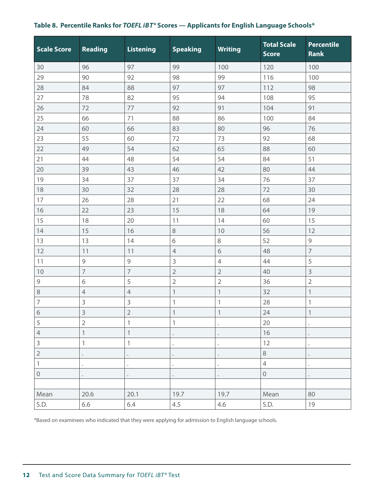<span id="page-11-0"></span>

| <b>Scale Score</b>                                                                                                                                                                                                                                                                                                                                                                                                                              | Reading        | <b>Listening</b>          | <b>Speaking</b> | <b>Writing</b>            | <b>Total Scale</b><br><b>Score</b> | <b>Percentile</b><br><b>Rank</b> |
|-------------------------------------------------------------------------------------------------------------------------------------------------------------------------------------------------------------------------------------------------------------------------------------------------------------------------------------------------------------------------------------------------------------------------------------------------|----------------|---------------------------|-----------------|---------------------------|------------------------------------|----------------------------------|
| 30                                                                                                                                                                                                                                                                                                                                                                                                                                              | 96             | 97                        | 99              | 100                       | 120                                | 100                              |
| 29                                                                                                                                                                                                                                                                                                                                                                                                                                              | 90             | 92                        | 98              | 99                        | 116                                | 100                              |
| 28                                                                                                                                                                                                                                                                                                                                                                                                                                              | 84             | 88                        | 97              | 97                        | 112                                | 98                               |
| $27\,$                                                                                                                                                                                                                                                                                                                                                                                                                                          | 78             | 82                        | 95              | 94                        | 108                                | 95                               |
| 26                                                                                                                                                                                                                                                                                                                                                                                                                                              | 72             | 77                        | 92              | 91                        | 104                                | 91                               |
| 25                                                                                                                                                                                                                                                                                                                                                                                                                                              | 66             | 71                        | 88              | 86                        | 100                                | 84                               |
| 24                                                                                                                                                                                                                                                                                                                                                                                                                                              | 60             | 66                        | 83              | 80                        | 96                                 | 76                               |
| 23                                                                                                                                                                                                                                                                                                                                                                                                                                              | 55             | 60                        | 72              | 73                        | 92                                 | 68                               |
| 22                                                                                                                                                                                                                                                                                                                                                                                                                                              | 49             | 54                        | 62              | 65                        | 88                                 | 60                               |
| 21                                                                                                                                                                                                                                                                                                                                                                                                                                              | 44             | 48                        | 54              | 54                        | 84                                 | 51                               |
| $20\,$                                                                                                                                                                                                                                                                                                                                                                                                                                          | 39             | 43                        | 46              | 42                        | 80                                 | 44                               |
| 19                                                                                                                                                                                                                                                                                                                                                                                                                                              | 34             | 37                        | 37              | 34                        | 76                                 | 37                               |
| $18\,$                                                                                                                                                                                                                                                                                                                                                                                                                                          | 30             | 32                        | 28              | 28                        | 72                                 | 30                               |
| $17\,$                                                                                                                                                                                                                                                                                                                                                                                                                                          | 26             | 28                        | 21              | 22                        | 68                                 | 24                               |
| 16                                                                                                                                                                                                                                                                                                                                                                                                                                              | 22             | 23                        | 15              | 18                        | 64                                 | 19                               |
| 15                                                                                                                                                                                                                                                                                                                                                                                                                                              | 18             | 20                        | 11              | 14                        | 60                                 | 15                               |
| $14$                                                                                                                                                                                                                                                                                                                                                                                                                                            | 15             | 16                        | $\,8\,$         | 10                        | 56                                 | 12                               |
| $13$                                                                                                                                                                                                                                                                                                                                                                                                                                            | 13             | 14                        | 6               | $\,8\,$                   | 52                                 | $\mathsf 9$                      |
| 12                                                                                                                                                                                                                                                                                                                                                                                                                                              | 11             | 11                        | $\overline{4}$  | $\sqrt{6}$                | 48                                 | $\overline{7}$                   |
| $11$                                                                                                                                                                                                                                                                                                                                                                                                                                            | 9              | $\mathsf 9$               | $\mathsf{3}$    | $\overline{4}$            | 44                                 | 5                                |
| $10$                                                                                                                                                                                                                                                                                                                                                                                                                                            | $\overline{7}$ | $\overline{7}$            | $\overline{2}$  | $\overline{2}$            | 40                                 | 3                                |
| $\mathcal{G}%{\mathcal{G}}=\mathcal{G}_{\mathcal{G}}(\mathcal{G})\text{, }%{\mathcal{G}}\text{, }%{\mathcal{G}}\text{, }%{\mathcal{G}}\text{, }%{\mathcal{G}}\text{, }%{\mathcal{G}}\text{, }%{\mathcal{G}}\text{, }%{\mathcal{G}}\text{, }%{\mathcal{G}}\text{, }%{\mathcal{G}}\text{, }%{\mathcal{G}}\text{, }%{\mathcal{G}}\text{, }%{\mathcal{G}}\text{, }%{\mathcal{G}}\text{, }%{\mathcal{G}}\text{, }%{\mathcal{G}}\text{, }%{\mathcal{$ | 6              | 5                         | $\overline{2}$  | $\sqrt{2}$                | 36                                 | $\overline{2}$                   |
| $\,8\,$                                                                                                                                                                                                                                                                                                                                                                                                                                         | $\overline{4}$ | $\overline{4}$            | $\mathbf{1}$    | $\ensuremath{\mathsf{1}}$ | 32                                 | $\mathbf{1}$                     |
| $\overline{7}$                                                                                                                                                                                                                                                                                                                                                                                                                                  | 3              | $\mathsf 3$               | $\mathbf 1$     | 1                         | 28                                 | 1                                |
| $\overline{6}$                                                                                                                                                                                                                                                                                                                                                                                                                                  | $\overline{3}$ | $\overline{2}$            | $\mathbf{1}$    | $\mathbf{1}$              | 24                                 | $\mathbf{1}$                     |
| 5                                                                                                                                                                                                                                                                                                                                                                                                                                               | $\overline{2}$ | $\mathbf{1}$              | $\mathbf{1}$    |                           | 20                                 |                                  |
| $\overline{4}$                                                                                                                                                                                                                                                                                                                                                                                                                                  | $\mathbf{1}$   | $\ensuremath{\mathsf{1}}$ |                 |                           | 16                                 |                                  |
| $\overline{3}$                                                                                                                                                                                                                                                                                                                                                                                                                                  | $\mathbf{1}$   | $\mathbf{1}$              |                 |                           | 12                                 |                                  |
| $\overline{2}$                                                                                                                                                                                                                                                                                                                                                                                                                                  |                | $\bullet$                 |                 |                           | $\,8\,$                            |                                  |
| $\overline{1}$                                                                                                                                                                                                                                                                                                                                                                                                                                  |                | $\bullet$                 |                 |                           | $\overline{4}$                     |                                  |
| $\mathbf 0$                                                                                                                                                                                                                                                                                                                                                                                                                                     |                |                           |                 |                           | $\mathbf 0$                        |                                  |
|                                                                                                                                                                                                                                                                                                                                                                                                                                                 |                |                           |                 |                           |                                    |                                  |
| Mean                                                                                                                                                                                                                                                                                                                                                                                                                                            | 20.6           | 20.1                      | 19.7            | 19.7                      | Mean                               | 80                               |
| S.D.                                                                                                                                                                                                                                                                                                                                                                                                                                            | 6.6            | 6.4                       | 4.5             | 4.6                       | S.D.                               | 19                               |

\*Based on examinees who indicated that they were applying for admission to English language schools.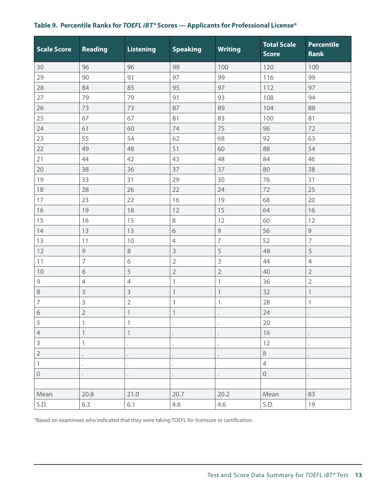| <b>Scale Score</b> | Reading              | <b>Listening</b>          | <b>Speaking</b>           | <b>Writing</b> | <b>Total Scale</b><br><b>Score</b> | Percentile<br><b>Rank</b> |
|--------------------|----------------------|---------------------------|---------------------------|----------------|------------------------------------|---------------------------|
| 30                 | 96                   | 96                        | 99                        | 100            | 120                                | 100                       |
| 29                 | 90                   | 91                        | 97                        | 99             | 116                                | 99                        |
| 28                 | 84                   | 85                        | 95                        | 97             | 112                                | 97                        |
| 27                 | 79                   | 79                        | 91                        | 93             | 108                                | 94                        |
| 26                 | 73                   | 73                        | 87                        | 89             | 104                                | 88                        |
| 25                 | 67                   | 67                        | 81                        | 83             | 100                                | 81                        |
| 24                 | 61                   | 60                        | 74                        | 75             | 96                                 | 72                        |
| 23                 | 55                   | 54                        | 62                        | 68             | 92                                 | 63                        |
| 22                 | 49                   | 48                        | 51                        | 60             | 88                                 | 54                        |
| 21                 | 44                   | 42                        | 43                        | 48             | 84                                 | 46                        |
| 20                 | 38                   | 36                        | 37                        | 37             | 80                                 | 38                        |
| 19                 | 33                   | 31                        | 29                        | 30             | 76                                 | 31                        |
| 18                 | 28                   | 26                        | 22                        | 24             | 72                                 | 25                        |
| 17                 | 23                   | 22                        | 16                        | 19             | 68                                 | 20                        |
| 16                 | 19                   | 18                        | 12                        | 15             | 64                                 | 16                        |
| 15                 | 16                   | 15                        | 8                         | 12             | 60                                 | 12                        |
| 14                 | 13                   | 13                        | 6                         | $\mathcal{G}$  | 56                                 | $\mathcal{G}$             |
| 13                 | 11                   | 10                        | $\overline{4}$            | $\overline{7}$ | 52                                 | $\overline{7}$            |
| 12                 | $\mathsf 9$          | $\,8\,$                   | 3                         | 5              | 48                                 | 5                         |
| 11                 | $\overline{7}$       | 6                         | $\overline{2}$            | $\overline{3}$ | 44                                 | $\overline{4}$            |
| 10                 | $\sqrt{6}$           | 5                         | $\overline{2}$            | $\overline{2}$ | 40                                 | $\overline{2}$            |
| $\mathsf 9$        | $\overline{4}$       | $\overline{4}$            | $\mathbf{1}$              | $\mathbf{1}$   | 36                                 | $\overline{2}$            |
| 8                  | $\overline{3}$       | $\mathsf 3$               | $\mathbb{1}$              | $\mathbf{1}$   | 32                                 | $\ensuremath{\mathsf{1}}$ |
| $\overline{7}$     | 3                    | $\sqrt{2}$                | $\mathbf{1}$              | $\,1$          | 28                                 | $\mathbbm{1}$             |
| $\sqrt{6}$         | $\overline{2}$       | $\ensuremath{\mathsf{1}}$ | $\ensuremath{\mathsf{1}}$ |                | 24                                 |                           |
| 5                  |                      |                           |                           |                | 20                                 |                           |
| $\overline{4}$     | $\mathbf{1}$         | $\mathbf{1}$              |                           |                | 16                                 |                           |
| 3                  | $\mathbf{1}$         | $\bullet$                 |                           |                | 12                                 |                           |
| $\overline{2}$     |                      |                           |                           |                | $\,8\,$                            |                           |
| 1                  | $\ddot{\phantom{0}}$ | $\ddot{\phantom{a}}$      |                           |                | $\overline{4}$                     |                           |
| $\mathbf 0$        | $\bullet$            | $\bullet$                 |                           | $\bullet$      | $\mathbf 0$                        | $\bullet$                 |
|                    |                      |                           |                           |                |                                    |                           |
| Mean               | 20.8                 | 21.0                      | 20.7                      | 20.2           | Mean                               | 83                        |
| S.D.               | 6.3                  | 6.1                       | 4.6                       | 4.6            | S.D.                               | 19                        |

# <span id="page-12-0"></span>Table 9. Percentile Ranks for *TOEFL iBT®* Scores — Applicants for Professional License\*

\*Based on examinees who indicated that they were taking TOEFL for licensure or certification.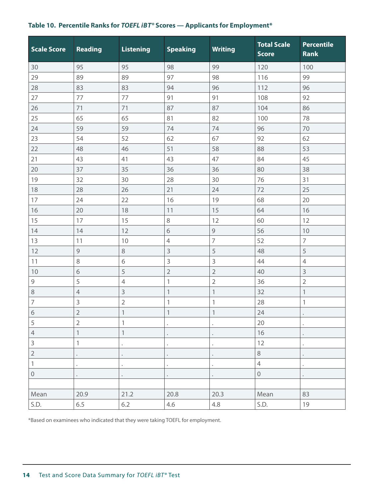# <span id="page-13-0"></span>**Table 10. Percentile Ranks for** *TOEFL i B T®* **Scores — Applicants for Employment\***

| <b>Scale Score</b>        | Reading        | <b>Listening</b>          | <b>Speaking</b> | <b>Writing</b> | <b>Total Scale</b><br><b>Score</b> | <b>Percentile</b><br><b>Rank</b> |
|---------------------------|----------------|---------------------------|-----------------|----------------|------------------------------------|----------------------------------|
| 30                        | 95             | 95                        | 98              | 99             | 120                                | 100                              |
| 29                        | 89             | 89                        | 97              | 98             | 116                                | 99                               |
| 28                        | 83             | 83                        | 94              | 96             | 112                                | 96                               |
| 27                        | 77             | 77                        | 91              | 91             | 108                                | 92                               |
| 26                        | 71             | 71                        | 87              | 87             | 104                                | 86                               |
| 25                        | 65             | 65                        | 81              | 82             | 100                                | 78                               |
| 24                        | 59             | 59                        | 74              | 74             | 96                                 | 70                               |
| 23                        | 54             | 52                        | 62              | 67             | 92                                 | 62                               |
| 22                        | 48             | 46                        | 51              | 58             | 88                                 | 53                               |
| 21                        | 43             | 41                        | 43              | 47             | 84                                 | 45                               |
| 20                        | 37             | 35                        | 36              | 36             | 80                                 | 38                               |
| 19                        | 32             | 30                        | 28              | 30             | 76                                 | 31                               |
| 18                        | 28             | 26                        | 21              | 24             | 72                                 | 25                               |
| 17                        | 24             | 22                        | 16              | 19             | 68                                 | 20                               |
| 16                        | 20             | 18                        | 11              | 15             | 64                                 | 16                               |
| 15                        | 17             | 15                        | 8               | 12             | 60                                 | 12                               |
| 14                        | 14             | 12                        | $\sqrt{6}$      | $\mathcal{G}$  | 56                                 | 10                               |
| 13                        | 11             | 10                        | $\overline{4}$  | $\overline{7}$ | 52                                 | $\overline{7}$                   |
| 12                        | $\mathfrak{g}$ | 8                         | 3               | 5              | 48                                 | 5                                |
| 11                        | $\,8\,$        | $\sqrt{6}$                | 3               | $\mathsf{3}$   | 44                                 | $\overline{4}$                   |
| 10                        | 6              | 5                         | $\overline{2}$  | $\overline{2}$ | 40                                 | 3                                |
| $\mathsf 9$               | 5              | $\overline{4}$            | 1               | $\overline{2}$ | 36                                 | $\overline{2}$                   |
| 8                         | $\overline{4}$ | 3                         | $\mathbf{1}$    | $\mathbf{1}$   | 32                                 | $\mathbf 1$                      |
| $\overline{7}$            | 3              | $\overline{2}$            | 1               | 1              | 28                                 | 1                                |
| $\overline{6}$            | $\overline{2}$ | $\ensuremath{\mathsf{1}}$ | $\mathbf{1}$    | 1              | 24                                 | $\bullet$                        |
| 5                         | $\overline{2}$ | 1                         |                 |                | 20                                 |                                  |
| $\overline{4}$            | $\mathbf{1}$   | $\ensuremath{\mathbb{1}}$ |                 |                | 16                                 |                                  |
| $\mathsf{3}$              | $\mathbf{1}$   | $\bullet$                 |                 |                | 12                                 |                                  |
| $\overline{2}$            |                |                           |                 |                | $\,8\,$                            |                                  |
| $\ensuremath{\mathsf{1}}$ |                | $\bullet$                 |                 |                | $\overline{4}$                     |                                  |
| $\mathbf 0$               |                |                           |                 |                | $\mathbf 0$                        |                                  |
|                           |                |                           |                 |                |                                    |                                  |
| Mean                      | 20.9           | 21.2                      | 20.8            | 20.3           | Mean                               | 83                               |
| S.D.                      | 6.5            | 6.2                       | 4.6             | 4.8            | S.D.                               | 19                               |

\*Based on examinees who indicated that they were taking TOEFL for employment.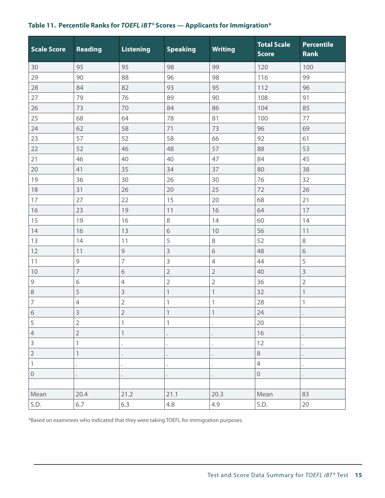<span id="page-14-0"></span>

| Table 11. Percentile Ranks for TOEFL iBT <sup>®</sup> Scores - Applicants for Immigration* |  |  |  |  |  |
|--------------------------------------------------------------------------------------------|--|--|--|--|--|
|                                                                                            |  |  |  |  |  |

| <b>Scale Score</b>        | Reading        | <b>Listening</b>          | <b>Speaking</b> | <b>Writing</b> | <b>Total Scale</b><br><b>Score</b> | <b>Percentile</b><br><b>Rank</b> |
|---------------------------|----------------|---------------------------|-----------------|----------------|------------------------------------|----------------------------------|
| 30                        | 95             | 95                        | 98              | 99             | 120                                | 100                              |
| 29                        | 90             | 88                        | 96              | 98             | 116                                | 99                               |
| 28                        | 84             | 82                        | 93              | 95             | 112                                | 96                               |
| 27                        | 79             | 76                        | 89              | 90             | 108                                | 91                               |
| 26                        | 73             | 70                        | 84              | 86             | 104                                | 85                               |
| 25                        | 68             | 64                        | 78              | 81             | 100                                | 77                               |
| 24                        | 62             | 58                        | 71              | 73             | 96                                 | 69                               |
| 23                        | 57             | 52                        | 58              | 66             | 92                                 | 61                               |
| 22                        | 52             | 46                        | 48              | 57             | 88                                 | 53                               |
| $21$                      | 46             | 40                        | 40              | 47             | 84                                 | 45                               |
| 20                        | 41             | 35                        | 34              | 37             | 80                                 | 38                               |
| 19                        | 36             | 30                        | 26              | 30             | 76                                 | 32                               |
| 18                        | 31             | 26                        | 20              | 25             | 72                                 | 26                               |
| 17                        | 27             | 22                        | 15              | 20             | 68                                 | 21                               |
| 16                        | 23             | 19                        | 11              | 16             | 64                                 | 17                               |
| 15                        | 19             | 16                        | $\,8\,$         | 14             | 60                                 | 14                               |
| 14                        | 16             | 13                        | $\sqrt{6}$      | 10             | 56                                 | 11                               |
| 13                        | 14             | 11                        | 5               | $\,8\,$        | 52                                 | 8                                |
| 12                        | 11             | $\mathcal{G}$             | $\overline{3}$  | $\sqrt{6}$     | 48                                 | $\sqrt{6}$                       |
| 11                        | $\mathsf 9$    | $\overline{7}$            | 3               | $\overline{4}$ | 44                                 | 5                                |
| 10                        | $\overline{7}$ | $\sqrt{6}$                | $\overline{2}$  | $\overline{2}$ | 40                                 | 3                                |
| $\mathsf 9$               | 6              | $\overline{4}$            | $\overline{2}$  | $\overline{2}$ | 36                                 | $\overline{2}$                   |
| 8                         | 5              | $\mathsf{3}$              | $\mathbf{1}$    | $\mathbf{1}$   | 32                                 | $\mathbf{1}$                     |
| $\overline{7}$            | $\overline{4}$ | $\overline{2}$            | 1               | 1              | 28                                 | 1                                |
| $\overline{6}$            | 3              | $\mathbf{2}$              | $\mathbf{1}$    | $\mathbb{1}$   | 24                                 |                                  |
| 5                         | $\overline{2}$ | 1                         | $\mathbb{1}$    |                | 20                                 |                                  |
| $\ensuremath{\mathsf{4}}$ | $\overline{2}$ | $\ensuremath{\mathbb{1}}$ |                 |                | 16                                 |                                  |
| $\overline{3}$            | $\mathbf{1}$   |                           |                 |                | 12                                 |                                  |
| $\overline{c}$            | 1              |                           |                 |                | $\,8\,$                            |                                  |
| $\,1$                     |                |                           |                 |                | $\overline{4}$                     |                                  |
| $\mathbf 0$               |                |                           |                 |                | $\mathbf 0$                        |                                  |
|                           |                |                           |                 |                |                                    |                                  |
| Mean                      | 20.4           | 21.2                      | 21.1            | 20.3           | Mean                               | 83                               |
| S.D.                      | $6.7\,$        | 6.3                       | $4.8\,$         | 4.9            | S.D.                               | 20                               |

\*Based on examinees who indicated that they were taking TOEFL for immigration purposes.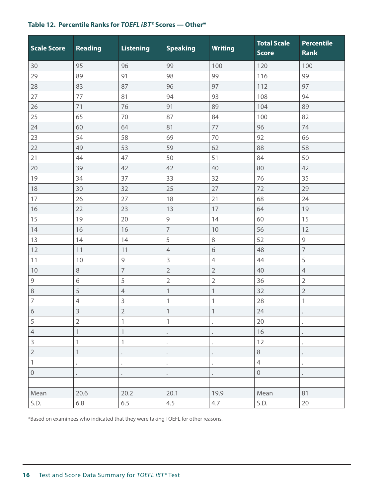| <b>Scale Score</b>        | Reading        | <b>Listening</b> | <b>Speaking</b>                                           | <b>Writing</b>            | <b>Total Scale</b><br><b>Score</b> | <b>Percentile</b><br><b>Rank</b> |
|---------------------------|----------------|------------------|-----------------------------------------------------------|---------------------------|------------------------------------|----------------------------------|
| 30                        | 95             | 96               | 99                                                        | 100                       | 120                                | 100                              |
| 29                        | 89             | 91               | 98                                                        | 99                        | 116                                | 99                               |
| 28                        | 83             | 87               | 96                                                        | 97                        | 112                                | 97                               |
| 27                        | 77             | 81               | 94                                                        | 93                        | 108                                | 94                               |
| 26                        | 71             | 76               | 91                                                        | 89                        | 104                                | 89                               |
| 25                        | 65             | 70               | 87                                                        | 84                        | 100                                | 82                               |
| 24                        | 60             | 64               | 81                                                        | 77                        | 96                                 | 74                               |
| 23                        | 54             | 58               | 69                                                        | 70                        | 92                                 | 66                               |
| 22                        | 49             | 53               | 59                                                        | 62                        | 88                                 | 58                               |
| 21                        | 44             | 47               | 50                                                        | 51                        | 84                                 | 50                               |
| 20                        | 39             | 42               | 42                                                        | 40                        | 80                                 | 42                               |
| 19                        | 34             | 37               | 33                                                        | 32                        | 76                                 | 35                               |
| 18                        | 30             | 32               | 25                                                        | 27                        | 72                                 | 29                               |
| 17                        | 26             | 27               | 18                                                        | 21                        | 68                                 | 24                               |
| 16                        | 22             | 23               | 13                                                        | 17                        | 64                                 | 19                               |
| 15                        | 19             | 20               | $\mathcal{G}% _{M_{1},M_{2}}^{\alpha,\beta}(\varepsilon)$ | 14                        | 60                                 | 15                               |
| 14                        | 16             | 16               | $\overline{7}$                                            | 10                        | 56                                 | 12                               |
| 13                        | 14             | 14               | 5                                                         | $\,8\,$                   | 52                                 | $\mathsf 9$                      |
| 12                        | 11             | 11               | $\overline{4}$                                            | 6                         | 48                                 | $\overline{7}$                   |
| 11                        | 10             | $\mathsf 9$      | $\mathsf 3$                                               | $\overline{4}$            | 44                                 | 5                                |
| 10                        | $\,8\,$        | $\overline{7}$   | $\overline{2}$                                            | $\overline{2}$            | 40                                 | $\overline{4}$                   |
| $\mathsf 9$               | $\sqrt{6}$     | 5                | $\overline{2}$                                            | $\overline{2}$            | 36                                 | $\sqrt{2}$                       |
| $\,8\,$                   | 5              | $\overline{4}$   | $\mathbf{1}$                                              | $\mathbf{1}$              | 32                                 | $\overline{2}$                   |
| $\overline{7}$            | $\sqrt{4}$     | $\mathsf 3$      | 1                                                         | 1                         | 28                                 | 1                                |
| $\sqrt{6}$                | $\mathsf 3$    | $\sqrt{2}$       | $\ensuremath{\mathbb{1}}$                                 | $\ensuremath{\mathsf{1}}$ | 24                                 |                                  |
| $\sqrt{5}$                | $\overline{2}$ | 1                | $\ensuremath{\mathsf{1}}$                                 |                           | 20                                 |                                  |
| $\overline{4}$            | 1              | $\mathbbm{1}$    |                                                           |                           | 16                                 |                                  |
| $\mathsf{3}$              | 1              | 1                |                                                           |                           | 12                                 |                                  |
| $\overline{2}$            | $\mathbf 1$    |                  |                                                           |                           | $\,8\,$                            |                                  |
| $\ensuremath{\mathsf{1}}$ |                |                  |                                                           |                           | $\overline{4}$                     |                                  |
| $\mathbf 0$               |                |                  |                                                           |                           | $\mathbf 0$                        |                                  |
|                           |                |                  |                                                           |                           |                                    |                                  |
| Mean                      | 20.6           | 20.2             | 20.1                                                      | 19.9                      | Mean                               | 81                               |
| S.D.                      | 6.8            | 6.5              | 4.5                                                       | 4.7                       | S.D.                               | 20                               |

#### <span id="page-15-0"></span>**Table 12. Percentile Ranks for** *TOEFL i B T®* **Scores — Other\***

\*Based on examinees who indicated that they were taking TOEFL for other reasons.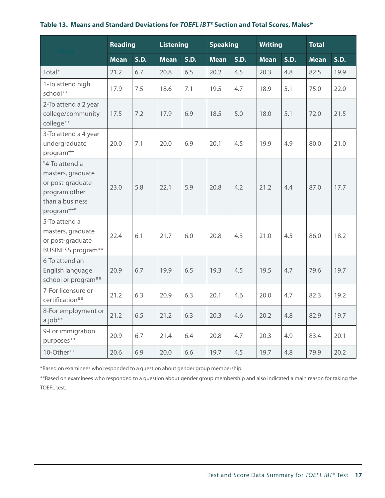<span id="page-16-0"></span>

|  |  | Table 13. Means and Standard Deviations for TOEFL iBT® Section and Total Scores, Males* |  |  |  |  |
|--|--|-----------------------------------------------------------------------------------------|--|--|--|--|
|--|--|-----------------------------------------------------------------------------------------|--|--|--|--|

|                                                                                                                       | <b>Reading</b> |      | <b>Listening</b> | <b>Speaking</b> |             | <b>Writing</b> |             | <b>Total</b> |             |      |
|-----------------------------------------------------------------------------------------------------------------------|----------------|------|------------------|-----------------|-------------|----------------|-------------|--------------|-------------|------|
|                                                                                                                       | <b>Mean</b>    | S.D. | <b>Mean</b>      | S.D.            | <b>Mean</b> | S.D.           | <b>Mean</b> | S.D.         | <b>Mean</b> | S.D. |
| Total*                                                                                                                | 21.2           | 6.7  | 20.8             | 6.5             | 20.2        | 4.5            | 20.3        | 4.8          | 82.5        | 19.9 |
| 1-To attend high<br>school**                                                                                          | 17.9           | 7.5  | 18.6             | 7.1             | 19.5        | 4.7            | 18.9        | 5.1          | 75.0        | 22.0 |
| 2-To attend a 2 year<br>college/community<br>college**                                                                | 17.5           | 7.2  | 17.9             | 6.9             | 18.5        | 5.0            | 18.0        | 5.1          | 72.0        | 21.5 |
| 3-To attend a 4 year<br>undergraduate<br>program**                                                                    | 20.0           | 7.1  | 20.0             | 6.9             | 20.1        | 4.5            | 19.9        | 4.9          | 80.0        | 21.0 |
| "4-To attend a<br>masters, graduate<br>or post-graduate<br>program other<br>than a business<br>program <sup>**"</sup> | 23.0           | 5.8  | 22.1             | 5.9             | 20.8        | 4.2            | 21.2        | 4.4          | 87.0        | 17.7 |
| 5-To attend a<br>masters, graduate<br>or post-graduate<br><b>BUSINESS program**</b>                                   | 22.4           | 6.1  | 21.7             | 6.0             | 20.8        | 4.3            | 21.0        | 4.5          | 86.0        | 18.2 |
| 6-To attend an<br>English language<br>school or program**                                                             | 20.9           | 6.7  | 19.9             | 6.5             | 19.3        | 4.5            | 19.5        | 4.7          | 79.6        | 19.7 |
| 7-For licensure or<br>certification**                                                                                 | 21.2           | 6.3  | 20.9             | 6.3             | 20.1        | 4.6            | 20.0        | 4.7          | 82.3        | 19.2 |
| 8-For employment or<br>a job <sup>**</sup>                                                                            | 21.2           | 6.5  | 21.2             | 6.3             | 20.3        | 4.6            | 20.2        | 4.8          | 82.9        | 19.7 |
| 9-For immigration<br>purposes**                                                                                       | 20.9           | 6.7  | 21.4             | 6.4             | 20.8        | 4.7            | 20.3        | 4.9          | 83.4        | 20.1 |
| 10-Other**                                                                                                            | 20.6           | 6.9  | 20.0             | 6.6             | 19.7        | 4.5            | 19.7        | 4.8          | 79.9        | 20.2 |

\*Based on examinees who responded to a question about gender group membership.

\*\*Based on examinees who responded to a question about gender group membership and also indicated a main reason for taking the TOEFL test.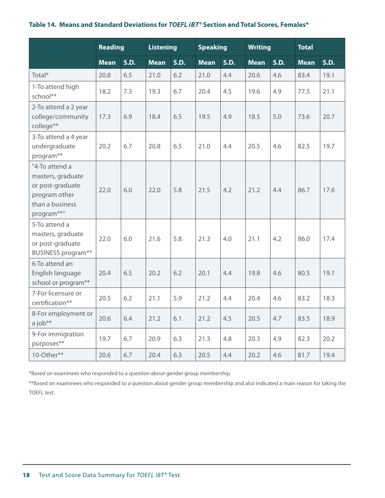#### <span id="page-17-0"></span>**Table 14. Means and Standard Deviations for** *TOEFL i B T®* **Section and Total Scores, Females\***

|                                                                                                           | <b>Reading</b> |      | <b>Listening</b> |      | <b>Speaking</b> |      | <b>Writing</b> |      | <b>Total</b> |      |
|-----------------------------------------------------------------------------------------------------------|----------------|------|------------------|------|-----------------|------|----------------|------|--------------|------|
|                                                                                                           | <b>Mean</b>    | S.D. | <b>Mean</b>      | S.D. | <b>Mean</b>     | S.D. | <b>Mean</b>    | S.D. | <b>Mean</b>  | S.D. |
| Total <sup>*</sup>                                                                                        | 20.8           | 6.5  | 21.0             | 6.2  | 21.0            | 4.4  | 20.6           | 4.6  | 83.4         | 19.1 |
| 1-To attend high<br>school**                                                                              | 18.2           | 7.3  | 19.3             | 6.7  | 20.4            | 4.5  | 19.6           | 4.9  | 77.5         | 21.1 |
| 2-To attend a 2 year<br>college/community<br>college**                                                    | 17.3           | 6.9  | 18.4             | 6.5  | 19.5            | 4.9  | 18.5           | 5.0  | 73.6         | 20.7 |
| 3-To attend a 4 year<br>undergraduate<br>program <sup>**</sup>                                            | 20.2           | 6.7  | 20.8             | 6.5  | 21.0            | 4.4  | 20.5           | 4.6  | 82.5         | 19.7 |
| "4-To attend a<br>masters, graduate<br>or post-graduate<br>program other<br>than a business<br>program**" | 22.0           | 6.0  | 22.0             | 5.8  | 21.5            | 4.2  | 21.2           | 4.4  | 86.7         | 17.6 |
| 5-To attend a<br>masters, graduate<br>or post-graduate<br><b>BUSINESS program**</b>                       | 22.0           | 6.0  | 21.6             | 5.8  | 21.3            | 4.0  | 21.1           | 4.2  | 86.0         | 17.4 |
| 6-To attend an<br>English language<br>school or program**                                                 | 20.4           | 6.5  | 20.2             | 6.2  | 20.1            | 4.4  | 19.8           | 4.6  | 80.5         | 19.1 |
| 7-For licensure or<br>certification**                                                                     | 20.5           | 6.2  | 21.1             | 5.9  | 21.2            | 4.4  | 20.4           | 4.6  | 83.2         | 18.3 |
| 8-For employment or<br>a job <sup>**</sup>                                                                | 20.6           | 6.4  | 21.2             | 6.1  | 21.2            | 4.5  | 20.5           | 4.7  | 83.5         | 18.9 |
| 9-For immigration<br>purposes**                                                                           | 19.7           | 6.7  | 20.9             | 6.3  | 21.3            | 4.8  | 20.3           | 4.9  | 82.3         | 20.2 |
| 10-Other**                                                                                                | 20.6           | 6.7  | 20.4             | 6.3  | 20.5            | 4.4  | 20.2           | 4.6  | 81.7         | 19.4 |

\*Based on examinees who responded to a question about gender group membership.

\*\*Based on examinees who responded to a question about gender group membership and also indicated a main reason for taking the TOEFL test.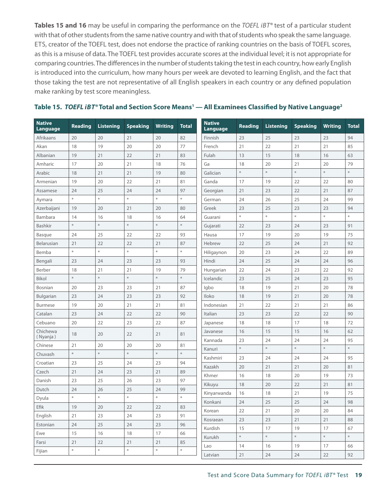<span id="page-18-0"></span>Tables 15 and 16 may be useful in comparing the performance on the *TOEFL iBT®* test of a particular student with that of other students from the same native country and with that of students who speak the same language. ETS, creator of the TOEFL test, does not endorse the practice of ranking countries on the basis of TOEFL scores, as this is a misuse of data. The TOEFL test provides accurate scores at the individual level; it is not appropriate for comparing countries. The differences in the number of students taking the test in each country, how early English is introduced into the curriculum, how many hours per week are devoted to learning English, and the fact that those taking the test are not representative of all English speakers in each country or any defined population make ranking by test score meaningless.

|  | Table 15. TOEFL iBT <sup>®</sup> Total and Section Score Means <sup>1</sup> — All Examinees Classified by Native Language <sup>2</sup> |  |  |  |  |
|--|----------------------------------------------------------------------------------------------------------------------------------------|--|--|--|--|
|--|----------------------------------------------------------------------------------------------------------------------------------------|--|--|--|--|

| <b>Native</b><br>Language | <b>Reading</b> | <b>Listening</b>                                   | <b>Speaking</b>                                     | <b>Writing</b> | <b>Total</b> | <b>Native</b><br>Language | <b>Reading</b> | <b>Listening</b> | <b>Speaking</b> | <b>Writing</b> | <b>Total</b> |
|---------------------------|----------------|----------------------------------------------------|-----------------------------------------------------|----------------|--------------|---------------------------|----------------|------------------|-----------------|----------------|--------------|
| Afrikaans                 | 20             | 20                                                 | 21                                                  | 20             | 82           | Finnish                   | 23             | 25               | 23              | 23             | 94           |
| Akan                      | 18             | 19                                                 | 20                                                  | 20             | 77           | French                    | 21             | 22               | 21              | 21             | 85           |
| Albanian                  | 19             | 21                                                 | 22                                                  | 21             | 83           | Fulah                     | 13             | 15               | 18              | 16             | 63           |
| Amharic                   | 17             | 20                                                 | 21                                                  | 18             | 76           | Ga                        | 18             | 20               | 21              | 20             | 79           |
| Arabic                    | 18             | 21                                                 | 21                                                  | 19             | 80           | Galician                  | $\ast$         | $\ast$           | $\ast$          | $\ast$         | $\ast$       |
| Armenian                  | 19             | 20                                                 | 22                                                  | 21             | 81           | Ganda                     | 17             | 19               | 22              | 22             | 80           |
| Assamese                  | 24             | 25                                                 | 24                                                  | 24             | 97           | Georgian                  | 21             | 23               | 22              | 21             | 87           |
| Aymara                    | $\ast$         | $\ast$                                             | $\frac{\partial \mathcal{L}}{\partial \mathcal{L}}$ | $\ast$         | $\ast$       | German                    | 24             | 26               | 25              | 24             | 99           |
| Azerbaijani               | 19             | 20                                                 | 21                                                  | 20             | 80           | Greek                     | 23             | 25               | 23              | 23             | 94           |
| Bambara                   | 14             | 16                                                 | 18                                                  | 16             | 64           | Guarani                   | $\ast$         | $\frac{M}{N}$    | $\ast$          | $\ast$         | $\ast$       |
| Bashkir                   | $\ast$         | $\frac{\partial f}{\partial t}$                    | $\ast$                                              | $\ast$         | $\ast$       | Gujarati                  | 22             | 23               | 24              | 23             | 91           |
| Basque                    | 24             | 25                                                 | 22                                                  | 22             | 93           | Hausa                     | 17             | 19               | 20              | 19             | 75           |
| Belarusian                | 21             | 22                                                 | 22                                                  | 21             | 87           | Hebrew                    | 22             | 25               | 24              | 21             | 92           |
| Bemba                     | $\ast$         | $\ast$                                             | $\ast$                                              | $\ast$         | $\ast$       | Hiligaynon                | 20             | 23               | 24              | 22             | 89           |
| Bengali                   | 23             | 24                                                 | 23                                                  | 23             | 93           | Hindi                     | 24             | 25               | 24              | 24             | 96           |
| Berber                    | 18             | 21                                                 | 21                                                  | 19             | 79           | Hungarian                 | 22             | 24               | 23              | 22             | 92           |
| Bikol                     | $\ast$         | $\ast$                                             | $\ast$                                              | $\ast$         | $\ast$       | Icelandic                 | 23             | 25               | 24              | 23             | 95           |
| <b>Bosnian</b>            | 20             | 23                                                 | 23                                                  | 21             | 87           | Igbo                      | 18             | 19               | 21              | 20             | 78           |
| Bulgarian                 | 23             | 24                                                 | 23                                                  | 23             | 92           | Iloko                     | 18             | 19               | 21              | 20             | 78           |
| <b>Burmese</b>            | 19             | 20                                                 | 21                                                  | 21             | 81           | Indonesian                | 21             | 22               | 21              | 21             | 86           |
| Catalan                   | 23             | 24                                                 | 22                                                  | 22             | 90           | Italian                   | 23             | 23               | 22              | 22             | 90           |
| Cebuano                   | 20             | 22                                                 | 23                                                  | 22             | 87           | Japanese                  | 18             | 18               | 17              | 18             | 72           |
| Chichewa<br>( Nyanja )    | 18             | 20                                                 | 22                                                  | 21             | 81           | Javanese                  | 16             | 15               | 15              | 16             | 62           |
| Chinese                   | 21             | 20                                                 | 20                                                  | 20             | 81           | Kannada                   | 23             | 24               | 24              | 24             | 95           |
| Chuvash                   | $\ast$         | $\ast$                                             | $\ast$                                              | $\ast$         | $\ast$       | Kanuri                    | $\ast$         | $\ast$           | $\ast$          | $\ast$         | $\ast$       |
| Croatian                  | 23             | 25                                                 | 24                                                  | 23             | 94           | Kashmiri                  | 23             | 24               | 24              | 24             | 95           |
| Czech                     | 21             | 24                                                 | 23                                                  | 21             | 89           | Kazakh                    | 20             | 21               | 21              | 20             | 81           |
| Danish                    | 23             | 25                                                 | 26                                                  | 23             | 97           | Khmer                     | 16             | 18               | 20              | 19             | 73           |
| Dutch                     | 24             | 26                                                 | 25                                                  | 24             | 99           | Kikuyu                    | 18             | 20               | 22              | 21             | 81           |
| Dyula                     | $\ast$         | $\frac{M}{2\pi}$                                   | $\frac{M}{N}$                                       | $\ast$         | $\ast$       | Kinyarwanda               | 16             | 18               | 21              | 19             | 75           |
| Efik                      | 19             | 20                                                 | 22                                                  | 22             | 83           | Konkani                   | 24             | 25               | 25              | 24             | 98           |
| English                   | 21             | 23                                                 | 24                                                  | 23             | 91           | Korean                    | 22             | 21               | 20              | 20             | 84           |
| Estonian                  | 24             | 25                                                 | 24                                                  | 23             | 96           | Kosraean                  | 23             | 23               | 21              | 21             | 88           |
| Ewe                       | 15             | 16                                                 | 18                                                  | 17             | 66           | Kurdish                   | 15             | 17               | 19              | 17             | 67           |
| Farsi                     | 21             | 22                                                 | 21                                                  | 21             | 85           | Kurukh                    | $\ast$         | $\ast$           | $\ast$          | $\ast$         | $\ast$       |
| Fijian                    | $\ast$         | $\frac{\partial \mathcal{L}}{\partial \mathbf{r}}$ | $\frac{\partial \mathcal{L}}{\partial \mathbf{r}}$  | $\ast$         | $\ast$       | Lao                       | 14             | 16               | 19              | 17             | 66           |
|                           |                |                                                    |                                                     |                |              | Latvian                   | 21             | 24               | 24              | 22             | 92           |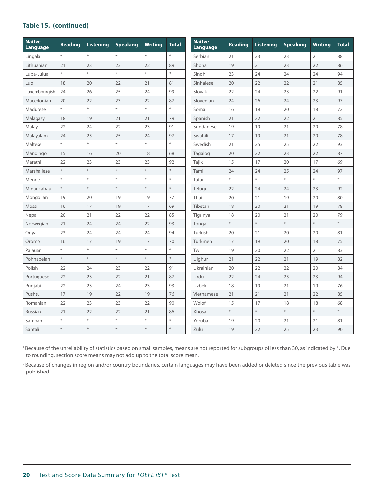#### **Table 15. (continued)**

| <b>Native</b><br>Language | Reading | <b>Listening</b>                                    | <b>Speaking</b>                                     | <b>Writing</b> | <b>Total</b> | <b>Native</b><br>Language | <b>Reading</b> | <b>Listening</b> | <b>Speaking</b> | <b>Writing</b> | <b>Total</b> |
|---------------------------|---------|-----------------------------------------------------|-----------------------------------------------------|----------------|--------------|---------------------------|----------------|------------------|-----------------|----------------|--------------|
| Lingala                   | $\ast$  | $\ast$                                              | $\ast$                                              | $\ast$         | $\ast$       | Serbian                   | 21             | 23               | 23              | 21             | 88           |
| Lithuanian                | 21      | 23                                                  | 23                                                  | 22             | 89           | Shona                     | 19             | 21               | 23              | 22             | 86           |
| Luba-Lulua                | $\ast$  | $\frac{\partial \mathcal{L}}{\partial \mathcal{L}}$ | s.                                                  | $\ast$         | $\ast$       | Sindhi                    | 23             | 24               | 24              | 24             | 94           |
| Luo                       | 18      | 20                                                  | 22                                                  | 21             | 81           | Sinhalese                 | 20             | 22               | 22              | 21             | 85           |
| Luxembourgish             | 24      | 26                                                  | 25                                                  | 24             | 99           | Slovak                    | 22             | 24               | 23              | 22             | 91           |
| Macedonian                | 20      | 22                                                  | 23                                                  | 22             | 87           | Slovenian                 | 24             | 26               | 24              | 23             | 97           |
| Madurese                  | $\ast$  | $\ast$                                              | $\boldsymbol{\varkappa}$                            | $\ast$         | $\ast$       | Somali                    | 16             | 18               | 20              | 18             | 72           |
| Malagasy                  | 18      | 19                                                  | 21                                                  | 21             | 79           | Spanish                   | 21             | 22               | 22              | 21             | 85           |
| Malay                     | 22      | 24                                                  | 22                                                  | 23             | 91           | Sundanese                 | 19             | 19               | 21              | 20             | 78           |
| Malayalam                 | 24      | 25                                                  | 25                                                  | 24             | 97           | Swahili                   | 17             | 19               | 21              | 20             | 78           |
| Maltese                   | $\ast$  | $\frac{\partial \mathcal{L}}{\partial \mathcal{L}}$ | $\ast$                                              | $\ast$         | $\ast$       | Swedish                   | 21             | 25               | 25              | 22             | 93           |
| Mandingo                  | 15      | 16                                                  | 20                                                  | 18             | 68           | Tagalog                   | 20             | 22               | 23              | 22             | 87           |
| Marathi                   | 22      | 23                                                  | 23                                                  | 23             | 92           | Tajik                     | 15             | 17               | 20              | 17             | 69           |
| Marshallese               | $\ast$  | $\ast$                                              | $\ast$                                              | $\ast$         | $\ast$       | Tamil                     | 24             | 24               | 25              | 24             | 97           |
| Mende                     | $\ast$  | $\frac{\partial \mathcal{L}}{\partial \mathbf{r}}$  | $\frac{\partial \mathcal{L}}{\partial \mathcal{L}}$ | $\ast$         | $\ast$       | Tatar                     | $\ast$         | *                | *               | $\ast$         | $\ast$       |
| Minankabau                | $\ast$  | $\ast$                                              | $\frac{\Delta E}{\Delta V}$                         | $\ast$         | $\ast$       | Telugu                    | 22             | 24               | 24              | 23             | 92           |
| Mongolian                 | 19      | 20                                                  | 19                                                  | 19             | 77           | Thai                      | 20             | 21               | 19              | 20             | 80           |
| Mossi                     | 16      | 17                                                  | 19                                                  | 17             | 69           | Tibetan                   | 18             | 20               | 21              | 19             | 78           |
| Nepali                    | 20      | 21                                                  | 22                                                  | 22             | 85           | Tigrinya                  | 18             | 20               | 21              | 20             | 79           |
| Norwegian                 | 21      | 24                                                  | 24                                                  | 22             | 93           | Tonga                     | $\ast$         | $\ast$           | $\ast$          | $\ast$         | $\ast$       |
| Oriya                     | 23      | 24                                                  | 24                                                  | 24             | 94           | Turkish                   | 20             | 21               | 20              | 20             | 81           |
| Oromo                     | 16      | 17                                                  | 19                                                  | 17             | 70           | Turkmen                   | 17             | 19               | 20              | 18             | 75           |
| Palauan                   | $\ast$  | $\frac{\partial \mathcal{L}}{\partial \mathcal{L}}$ | $\frac{\partial \mathcal{L}}{\partial \mathcal{L}}$ | $\ast$         | $\ast$       | Twi                       | 19             | 20               | 22              | 21             | 83           |
| Pohnapeian                | $\ast$  | $\ast$                                              | $\ast$                                              | $\ast$         | $\ast$       | Uighur                    | 21             | 22               | 21              | 19             | 82           |
| Polish                    | 22      | 24                                                  | 23                                                  | 22             | 91           | Ukrainian                 | 20             | 22               | 22              | 20             | 84           |
| Portuguese                | 22      | 23                                                  | 22                                                  | 21             | 87           | Urdu                      | 22             | 24               | 25              | 23             | 94           |
| Punjabi                   | 22      | 23                                                  | 24                                                  | 23             | 93           | Uzbek                     | 18             | 19               | 21              | 19             | 76           |
| Pushtu                    | 17      | 19                                                  | 22                                                  | 19             | 76           | Vietnamese                | 21             | 21               | 21              | 22             | 85           |
| Romanian                  | 22      | 23                                                  | 23                                                  | 22             | 90           | Wolof                     | 15             | 17               | 18              | 18             | 68           |
| Russian                   | 21      | 22                                                  | 22                                                  | 21             | 86           | Xhosa                     | $\ast$         | $\ast$           | $\ast$          | $\ast$         | $\ast$       |
| Samoan                    | $\ast$  | $\ast$                                              | $\frac{M}{N}$                                       | $\ast$         | $\ast$       | Yoruba                    | 19             | 20               | 21              | 21             | 81           |
| Santali                   | $\ast$  | $\frac{\partial \mathcal{L}}{\partial \mathbf{r}}$  | $\ast$                                              | $\ast$         | $\ast$       | Zulu                      | 19             | 22               | 25              | 23             | 90           |

<sup>1</sup> Because of the unreliability of statistics based on small samples, means are not reported for subgroups of less than 30, as indicated by \*. Due to rounding, section score means may not add up to the total score mean.

<sup>2</sup> Because of changes in region and/or country boundaries, certain languages may have been added or deleted since the previous table was published.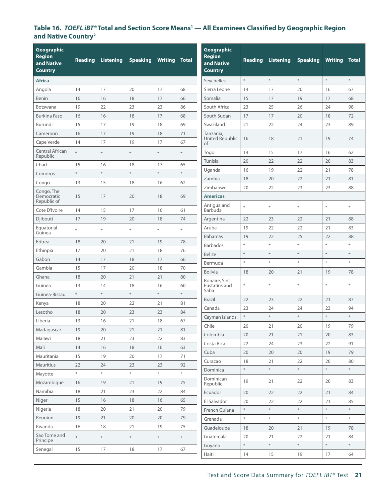### <span id="page-20-0"></span>Table 16. *TOEFL iBT®* Total and Section Score Means<sup>1</sup> — All Examinees Classified by Geographic Region **and Native Country2**

| Geographic                   |                |                  |                 |                |              | <b>Geographic</b>              |                                                    |                  |                 |                |              |
|------------------------------|----------------|------------------|-----------------|----------------|--------------|--------------------------------|----------------------------------------------------|------------------|-----------------|----------------|--------------|
| <b>Region</b>                | <b>Reading</b> | <b>Listening</b> | <b>Speaking</b> | <b>Writing</b> | <b>Total</b> | <b>Region</b>                  | <b>Reading</b>                                     | <b>Listening</b> | <b>Speaking</b> | <b>Writing</b> | <b>Total</b> |
| and Native<br><b>Country</b> |                |                  |                 |                |              | and Native<br><b>Country</b>   |                                                    |                  |                 |                |              |
| <b>Africa</b>                |                |                  |                 |                |              | Seychelles                     | $\frac{\partial \mathcal{L}}{\partial \mathbf{r}}$ | $\ast$           | $\ast$          | $\ast$         | $\ast$       |
| Angola                       | 14             | 17               | 20              | 17             | 68           | Sierra Leone                   | 14                                                 | 17               | 20              | 16             | 67           |
| Benin                        | 16             | 16               | 18              | 17             | 66           | Somalia                        | 15                                                 | 17               | 19              | 17             | 68           |
| <b>Botswana</b>              | 19             | 22               | 23              | 23             | 86           | South Africa                   | 23                                                 | 25               | 26              | 24             | 98           |
| <b>Burkina Faso</b>          | 16             | 16               | 18              | 17             | 68           | South Sudan                    | 17                                                 | 17               | 20              | 18             | 72           |
| Burundi                      | 15             | 17               | 19              | 18             | 69           | Swaziland                      | 21                                                 | 22               | 24              | 23             | 89           |
| Cameroon                     | 16             | 17               | 19              | 18             | 71           | Tanzania,                      |                                                    |                  |                 |                |              |
| Cape Verde                   | 14             | 17               | 19              | 17             | 67           | United Republic<br>of          | 16                                                 | 18               | 21              | 19             | 74           |
| Central African<br>Republic  | $\ast$         | $\ast$           | $\ast$          | $\ast$         | *            | Togo                           | 14                                                 | 15               | 17              | 16             | 62           |
| Chad                         | 15             | 16               | 18              | 17             | 65           | Tunisia                        | 20                                                 | 22               | 22              | 20             | 83           |
| Comoros                      | $\ast$         | $\ast$           | $\ast$          | $\ast$         | $\ast$       | Uganda                         | 16                                                 | 19               | 22              | 21             | 78           |
| Congo                        | 13             | 15               | 18              | 16             | 62           | Zambia                         | 18                                                 | 20               | 22              | 21             | 81           |
| Congo, The                   |                |                  |                 |                |              | Zimbabwe                       | 20                                                 | 22               | 23              | 23             | 88           |
| Democratic<br>Republic of    | 15             | 17               | 20              | 18             | 69           | <b>Americas</b>                |                                                    |                  |                 |                |              |
| Cote D'Ivoire                | 14             | 15               | 17              | 16             | 61           | Antigua and<br>Barbuda         | $\divideontimes$                                   | $\ast$           | $\ast$          | $\ast$         | $\ast$       |
| Djibouti                     | 17             | 19               | 20              | 18             | 74           | Argentina                      | 22                                                 | 23               | 22              | 21             | 88           |
| Equatorial<br>Guinea         | $\ast$         | $\ast$           | $\ast$          | $\ast$         | $\ast$       | Aruba                          | 19                                                 | 22               | 22              | 21             | 83           |
| Eritrea                      | 18             | 20               | 21              | 19             | 78           | <b>Bahamas</b>                 | 19                                                 | 22               | 25              | 22             | 88           |
| Ethiopia                     | 17             | 20               | 21              | 18             | 76           | <b>Barbados</b>                | $\frac{\partial f}{\partial t}$                    | $\ast$           | $\ast$          | $\ast$         | $\ast$       |
| Gabon                        | 14             | 17               | 18              | 17             | 66           | <b>Belize</b>                  | $\ast$                                             | $\ast$           | $\ast$          | $\ast$         | $\ast$       |
| Gambia                       | 15             | 17               | 20              | 18             | 70           | Bermuda                        | $\ast$                                             | $\ast$           | $\ast$          | $\ast$         | $\ast$       |
| Ghana                        | 18             | 20               | 21              | 21             | 80           | <b>Bolivia</b>                 | 18                                                 | 20               | 21              | 19             | 78           |
| Guinea                       | 13             | 14               | 18              | 16             | 60           | Bonaire, Sint<br>Eustatius and | $\ast$                                             | ₩                | $\ast$          | $\ast$         | $\ast$       |
| Guinea-Bissau                | $\ast$         | $\ast$           | $\ast$          | $\ast$         | $\ast$       | Saba                           |                                                    |                  |                 |                |              |
| Kenya                        | 18             | 20               | 22              | 21             | 81           | <b>Brazil</b>                  | 22                                                 | 23               | 22              | 21             | 87           |
| Lesotho                      | 18             | 20               | 23              | 23             | 84           | Canada                         | 23                                                 | 24               | 24              | 23             | 94           |
| Liberia                      | 13             | 16               | 21              | 18             | 67           | Cayman Islands                 | $\frac{\partial \mathcal{L}}{\partial \mathbf{r}}$ | $\ast$           | $\ast$          | $\ast$         | $\ast$       |
| Madagascar                   | 19             | 20               | 21              | 21             | 81           | Chile                          | 20                                                 | 21               | 20              | 19             | 79           |
| Malawi                       | 18             | 21               | 23              | 22             | 83           | Colombia                       | 20                                                 | 21               | 21              | 20             | 83           |
| Mali                         | 14             | 16               | 18              | 16             | 63           | Costa Rica                     | 22                                                 | 24               | 23              | 22             | 91           |
| Mauritania                   | 15             | 19               | 20              | 17             | $71\,$       | Cuba                           | 20<br>18                                           | 20               | $20\,$          | 19             | 79           |
| Mauritius                    | 22             | 24               | 23              | 23             | 92           | Curacao                        | $\ast$                                             | 21<br>$\ast$     | 22<br>$\ast$    | 20<br>$\ast$   | 80<br>$\ast$ |
| Mayotte                      | $\ast$         | $\ast$           | $\ast$          | $\ast$         | $\ast$       | Dominica<br>Dominican          |                                                    |                  |                 |                |              |
| Mozambique                   | 16             | 19               | 21              | 19             | 75           | Republic                       | 19                                                 | 21               | 22              | 20             | 83           |
| Namibia                      | 18             | 21               | 23              | 22             | 84           | Ecuador                        | 20                                                 | 22               | 22              | 21             | 84           |
| Niger                        | 15             | 16               | 18              | 16             | 65           | El Salvador                    | 20                                                 | 22               | 22              | 21             | 85           |
| Nigeria                      | 18             | 20               | 21              | 20             | 79           | French Guiana                  | $\ast$                                             | $*$              | $\ast$          | $\ast$         | $\ast$       |
| Reunion                      | 19             | 21               | $20\,$          | 20             | 79           | Grenada                        | $\mathcal{H}$                                      | $\ast$           | $\ast$          | $\ast$         | $\ast$       |
| Rwanda                       | 16             | 18               | 21              | 19             | 75           | Guadeloupe                     | 18                                                 | 20               | 21              | 19             | 78           |
| Sao Tome and<br>Principe     | $\ast$         | $\ast$           | $\ast$          | $\ast$         | $\ast$       | Guatemala                      | 20                                                 | 21               | 22              | 21             | 84           |
| Senegal                      | 15             | $17\,$           | 18              | 17             | 67           | Guyana                         | $\ast$                                             | $\ast$           | $\ast$          | $\ast$         | $\ast$       |
|                              |                |                  |                 |                |              | Haiti                          | 14                                                 | 15               | 19              | 17             | 64           |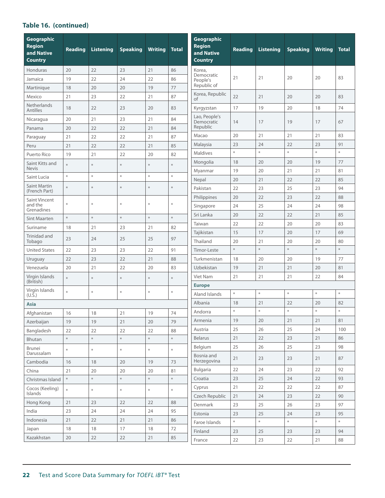# **Table 16. (continued)**

| Geographic<br><b>Region</b><br>and Native<br><b>Country</b> | <b>Reading</b> | <b>Listening</b> | <b>Speaking</b> | <b>Writing</b>           | <b>Total</b> | Geographic<br><b>Region</b><br>and Native<br><b>Country</b> | <b>Reading</b> | <b>Listening</b> | <b>Speaking</b>                                    | <b>Writing</b>                                            | <b>Total</b>                                              |
|-------------------------------------------------------------|----------------|------------------|-----------------|--------------------------|--------------|-------------------------------------------------------------|----------------|------------------|----------------------------------------------------|-----------------------------------------------------------|-----------------------------------------------------------|
| Honduras                                                    | 20             | 22               | 23              | 21                       | 86           | Korea,                                                      |                |                  |                                                    |                                                           |                                                           |
| Jamaica                                                     | 19             | 22               | 24              | 22                       | 86           | Democratic<br>People's                                      | 21             | 21               | 20                                                 | 20                                                        | 83                                                        |
| Martinique                                                  | 18             | 20               | 20              | 19                       | 77           | Republic of                                                 |                |                  |                                                    |                                                           |                                                           |
| Mexico                                                      | 21             | 23               | 22              | 21                       | 87           | Korea, Republic<br>of                                       | 22             | 21               | 20                                                 | 20                                                        | 83                                                        |
| Netherlands<br><b>Antilles</b>                              | 18             | 22               | 23              | 20                       | 83           | Kyrgyzstan                                                  | 17             | 19               | 20                                                 | 18                                                        | 74                                                        |
| Nicaragua                                                   | 20             | 21               | 23              | 21                       | 84           | Lao, People's<br>Democratic                                 | 14             | 17               | 19                                                 | 17                                                        | 67                                                        |
| Panama                                                      | 20             | 22               | 22              | 21                       | 84           | Republic                                                    |                |                  |                                                    |                                                           |                                                           |
| Paraguay                                                    | 21             | 22               | 22              | 21                       | 87           | Macao                                                       | 20             | 21               | 21                                                 | 21                                                        | 83                                                        |
| Peru                                                        | 21             | 22               | 22              | 21                       | 85           | Malaysia                                                    | 23             | 24               | 22                                                 | 23                                                        | 91                                                        |
| Puerto Rico                                                 | 19             | 21               | 22              | 20                       | 82           | <b>Maldives</b>                                             | $\ast$         | $\ast$           | $\ast$                                             | $\ast$                                                    | $\ast$                                                    |
| Saint Kitts and                                             | *              | $\ast$           | $\ast$          | ⋇                        | *            | Mongolia                                                    | 18             | 20               | 20                                                 | 19                                                        | 77                                                        |
| <b>Nevis</b>                                                | *              | $\ast$           | $\ast$          | $\ast$                   | $\ast$       | Myanmar                                                     | 19             | 20               | 21                                                 | 21                                                        | 81                                                        |
| Saint Lucia                                                 |                |                  |                 |                          |              | Nepal                                                       | 20             | 21               | 22                                                 | 22                                                        | 85                                                        |
| Saint Martin<br>(French Part)                               | $\ast$         | $\ast$           | $\ast$          | ∗                        | $\ast$       | Pakistan                                                    | 22             | 23               | 25                                                 | 23                                                        | 94                                                        |
| Saint Vincent                                               |                |                  |                 |                          |              | Philippines                                                 | 20             | 22               | 23                                                 | 22                                                        | 88                                                        |
| and the<br>Grenadines                                       | $\ast$         | $\ast$           | $\ast$          | $\ast$                   | $\ast$       | Singapore                                                   | 24             | 25               | 24                                                 | 24                                                        | 98                                                        |
| Sint Maarten                                                | $\ast$         | $\ast$           | $\ast$          | $\ast$                   | $\ast$       | Sri Lanka                                                   | 20             | 22               | 22                                                 | 21                                                        | 85                                                        |
| Suriname                                                    | 18             | 21               | 23              | 21                       | 82           | Taiwan                                                      | 22             | 22               | 20                                                 | 20                                                        | 83                                                        |
| Trinidad and                                                | 23             | 24               | 25              | 25                       | 97           | Tajikistan                                                  | 15             | 17               | 20                                                 | 17                                                        | 69                                                        |
| Tobago                                                      |                |                  |                 |                          |              | Thailand                                                    | 20             | 21               | 20                                                 | 20                                                        | 80                                                        |
| <b>United States</b>                                        | 22             | 23               | 23              | 22                       | 91           | Timor-Leste                                                 | $\ast$         | $\ast$           | $\frac{\partial \mathcal{L}}{\partial \mathbf{r}}$ | $\frac{\partial \mathcal{L}}{\partial \mathbf{r}^*}$      | $\ast$                                                    |
| Uruguay                                                     | 22             | 23               | 22              | 21                       | 88           | Turkmenistan                                                | 18             | 20               | 20                                                 | 19                                                        | 77                                                        |
| Venezuela                                                   | 20             | 21               | 22              | 20                       | 83           | Uzbekistan                                                  | 19             | 21               | 21                                                 | 20                                                        | 81                                                        |
| Virgin Islands<br>(British)                                 | $\ast$         | $\ast$           | $\ast$          | ∗                        | *            | Viet Nam                                                    | 21             | 21               | 21                                                 | 22                                                        | 84                                                        |
| Virgin Islands                                              | $\ast$         | $\ast$           | $\ast$          | $\boldsymbol{\varkappa}$ | $\ast$       | <b>Europe</b>                                               | $\ast$         | $\ast$           | $\ast$                                             | $\ast$                                                    | $\ast$                                                    |
| $(U.\bar{S})$                                               |                |                  |                 |                          |              | Aland Islands                                               |                |                  |                                                    |                                                           |                                                           |
| <b>Asia</b>                                                 |                |                  |                 |                          |              | Albania                                                     | 18<br>$\ast$   | 21<br>$\ast$     | 22<br>$\ast$                                       | 20<br>$\frac{\partial \mathcal{L}}{\partial \mathcal{L}}$ | 82<br>$\ast$                                              |
| Afghanistan                                                 | 16             | 18               | 21              | 19                       | 74           | Andorra                                                     |                |                  |                                                    |                                                           |                                                           |
| Azerbaijan                                                  | 19             | 19               | 21              | 20                       | 79           | Armenia<br>Austria                                          | 19<br>25       | 20<br>26         | 21<br>25                                           | 21<br>24                                                  | 81<br>100                                                 |
| Bangladesh                                                  | 22<br>$\ast$   | 22<br>$\ast$     | 22<br>$\ast$    | 22<br>$\ast$             | 88<br>$\ast$ | Belarus                                                     | 21             | 22               | 23                                                 | 21                                                        | 86                                                        |
| Bhutan                                                      |                |                  |                 |                          |              | Belgium                                                     | 25             | 26               | 25                                                 | 23                                                        | 98                                                        |
| Brunei<br>Darussalam                                        | $\ast$         | $\ast$           | $\ast$          | $\ast$                   | $\ast$       | Bosnia and                                                  | 21             | 23               | 23                                                 | 21                                                        | 87                                                        |
| Cambodia                                                    | 16             | 18               | 20              | 19                       | 73           | Herzegovina                                                 |                |                  |                                                    |                                                           |                                                           |
| China                                                       | 21             | 20               | 20              | 20                       | 81           | Bulgaria                                                    | 22             | 24               | 23                                                 | 22                                                        | 92                                                        |
| Christmas Island                                            | $\ast$         | $\ast$           | $\ast$          | $\ast$                   | $\ast$       | Croatia                                                     | 23             | 25               | 24                                                 | 22                                                        | 93                                                        |
| Cocos (Keeling)<br>Islands                                  | $\ast$         | $\ast$           | $\ast$          | $\ast$                   | $\ast$       | Cyprus                                                      | 21             | 22               | 22                                                 | 22                                                        | 87                                                        |
| Hong Kong                                                   | 21             | 23               | 22              | 22                       | 88           | Czech Republic                                              | 21             | 24               | 23                                                 | 22                                                        | 90                                                        |
| India                                                       | 23             | 24               | 24              | 24                       | 95           | Denmark                                                     | 23             | 25               | 26                                                 | 23                                                        | 97                                                        |
| Indonesia                                                   | 21             | 22               | 21              | 21                       | 86           | Estonia                                                     | 23<br>$\ast$   | 25<br>$\ast$     | 24<br>$\ast$                                       | 23<br>$\ast$                                              | 95<br>$\frac{\partial \mathcal{L}}{\partial \mathcal{L}}$ |
| Japan                                                       | $18\,$         | 18               | 17              | 18                       | 72           | Faroe Islands                                               |                |                  |                                                    |                                                           |                                                           |
| Kazakhstan                                                  | 20             | 22               | 22              | 21                       | 85           | Finland                                                     | 23<br>22       | 25<br>23         | 23<br>22                                           | 23<br>21                                                  | 94                                                        |
|                                                             |                |                  |                 |                          |              | France                                                      |                |                  |                                                    |                                                           | 88                                                        |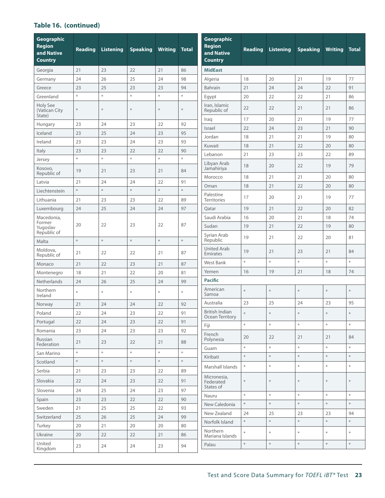# **Table 16. (continued)**

| Geographic<br><b>Region</b><br>and Native<br><b>Country</b> | <b>Reading</b> | <b>Listening</b> | <b>Speaking</b> | <b>Writing</b> | <b>Total</b> | Geographic<br><b>Region</b><br>and Native<br><b>Country</b> | <b>Reading</b>                                       | <b>Listening</b> | <b>Speaking</b> | <b>Writing</b> | <b>Total</b> |
|-------------------------------------------------------------|----------------|------------------|-----------------|----------------|--------------|-------------------------------------------------------------|------------------------------------------------------|------------------|-----------------|----------------|--------------|
| Georgia                                                     | 21             | 23               | 22              | 21             | 86           | <b>MidEast</b>                                              |                                                      |                  |                 |                |              |
| Germany                                                     | 24             | 26               | 25              | 24             | 98           | Algeria                                                     | 18                                                   | 20               | 21              | 19             | 77           |
| Greece                                                      | 23             | 25               | 23              | 23             | 94           | Bahrain                                                     | 21                                                   | 24               | 24              | 22             | 91           |
| Greenland                                                   | $\ast$         | $\ast$           | $\ast$          | $\ast$         | $\ast$       | Egypt                                                       | 20                                                   | 22               | 22              | 21             | 86           |
| Holy See<br>(Vatican City<br>State)                         | *              | $\ast$           | $\ast$          | $\ast$         | ∗            | Iran, Islamic<br>Republic of                                | 22                                                   | 22               | 21              | 21             | 86           |
| Hungary                                                     | 23             | 24               | 23              | 22             | 92           | Iraq                                                        | 17                                                   | 20               | 21              | 19             | 77           |
| Iceland                                                     | 23             | 25               | 24              | 23             | 95           | Israel                                                      | 22                                                   | 24               | 23              | 21             | 90           |
| Ireland                                                     | 23             | 23               | 24              | 23             | 93           | Jordan                                                      | 18                                                   | 21               | 21              | 19             | 80           |
| Italy                                                       | 23             | 23               | 22              | 22             | 90           | Kuwait                                                      | 18                                                   | 21               | 22              | 20             | 80           |
| Jersey                                                      | $\ast$         | $\ast$           | $\ast$          | $\ast$         | $\ast$       | Lebanon                                                     | 21                                                   | 23               | 23              | 22             | 89           |
| Kosovo,<br>Republic of                                      | 19             | 21               | 23              | 21             | 84           | Libyan Arab<br>Jamahiriya                                   | 18                                                   | 20               | 22              | 19             | 79           |
| Latvia                                                      | 21             | 24               | 24              | 22             | 91           | Morocco                                                     | 18                                                   | 21               | 21              | 20             | 80           |
| Liechtenstein                                               | $\ast$         | $\ast$           | $\ast$          | $\ast$         | $\ast$       | Oman                                                        | 18                                                   | 21               | 22              | 20             | 80           |
| Lithuania                                                   | 21             | 23               | 23              | 22             | 89           | Palestine<br><b>Territories</b>                             | 17                                                   | 20               | 21              | 19             | 77           |
| Luxembourg                                                  | 24             | 25               | 24              | 24             | 97           | Qatar                                                       | 19                                                   | 21               | 22              | 20             | 82           |
| Macedonia,                                                  |                |                  |                 |                |              | Saudi Arabia                                                | 16                                                   | 20               | 21              | 18             | 74           |
| Former<br>Yugoslav<br>Republic of                           | 20             | 22               | 23              | 22             | 87           | Sudan                                                       | 19                                                   | 21               | 22              | 19             | 80           |
| Malta                                                       | $\ast$         | $\ast$           | $\ast$          | $\ast$         | $\ast$       | Syrian Arab<br>Republic                                     | 19                                                   | 21               | 22              | 20             | 81           |
| Moldova,<br>Republic of                                     | 21             | 22               | 22              | 21             | 87           | <b>United Arab</b><br>Emirates                              | 19                                                   | 21               | 23              | 21             | 84           |
| Monaco                                                      | 21             | 22               | 23              | 21             | 87           | West Bank                                                   | $\ast$                                               | $\ast$           | $\ast$          | $\ast$         | $\ast$       |
| Montenegro                                                  | 18             | 21               | 22              | 20             | 81           | Yemen                                                       | 16                                                   | 19               | 21              | 18             | 74           |
| Netherlands                                                 | 24             | 26               | 25              | 24             | 99           | <b>Pacific</b>                                              |                                                      |                  |                 |                |              |
| Northern<br>Ireland                                         | $\ast$         | $\ast$           | $\ast$          | $\ast$         | $\ast$       | American<br>Samoa                                           | $\ast$                                               | ∦                | $\ast$          | $\ast$         | $\ast$       |
| Norway                                                      | 21             | 24               | 24              | 22             | 92           | Australia                                                   | 23                                                   | 25               | 24              | 23             | 95           |
| Poland                                                      | 22             | 24               | 23              | 22             | 91           | <b>British Indian</b><br>Ocean Territory                    | $\frac{\partial \mathcal{L}}{\partial \mathbf{r}}$   | $\ast$           | $\ast$          | $*$            | $\ast$       |
| Portugal                                                    | 22             | 24               | 23              | 22             | 91           | Fiji                                                        | $\mathcal{H}$                                        | $\ast$           | $\ast$          | $\ast$         | $\ast$       |
| Romania<br>Russian                                          | 23             | 24               | 23              | 23             | 92           | French<br>Polynesia                                         | 20                                                   | 22               | 21              | 21             | 84           |
| Federation                                                  | 21             | 23               | 22              | 21             | 88           | Guam                                                        | $\frac{\partial \mathcal{L}}{\partial \mathbf{r}^*}$ | $\ast$           | $\ast$          | $\ast$         | $\ast$       |
| San Marino                                                  | $\ast$         | $\ast$           | $\ast$          | $\ast$         | $\ast$       | Kiribati                                                    | $\ast$                                               | $\ast$           | $\ast$          | $\ast$         | $\ast$       |
| Scotland                                                    | $\ast$         | $\ast$           | $\ast$          | $\ast$         | $\ast$       | Marshall Islands                                            | $\frac{M}{N}$                                        | $\ast$           | $\ast$          | $\ast$         | $\ast$       |
| Serbia                                                      | 21             | 23               | 23              | 22             | 89           | Micronesia,                                                 |                                                      |                  |                 |                |              |
| Slovakia                                                    | 22             | 24               | 23              | 22             | 91           | Federated<br>States of                                      | $\frac{\partial \mathcal{L}}{\partial \mathbf{r}}$   | $\ast$           | $\ast$          | $\ast$         |              |
| Slovenia                                                    | 24             | 25               | 24              | 23             | 97           | Nauru                                                       | *                                                    | $\ast$           | $\ast$          | $\ast$         | $\ast$       |
| Spain                                                       | 23             | 23               | 22              | 22             | 90           | New Caledonia                                               | $\ast$                                               | $\ast$           | $\ast$          | $\ast$         | $\ast$       |
| Sweden                                                      | 21             | 25               | 25              | 22             | 93           | New Zealand                                                 | 24                                                   | 25               | 23              | 23             | 94           |
| Switzerland                                                 | 25             | 26               | 25              | 24             | 99           | Norfolk Island                                              | $\ast$                                               | $\ast$           | $\ast$          | $\ast$         | $\ast$       |
| Turkey                                                      | 20             | 21               | 20              | 20             | 80           | Northern                                                    |                                                      |                  |                 |                |              |
| Ukraine                                                     | 20             | 22               | 22              | 21             | 86           | Mariana Islands                                             | $\frac{M}{N}$                                        | $\ast$           | $\ast$          | $\ast$         | $\ast$       |
| United<br>Kingdom                                           | 23             | 24               | 24              | 23             | 94           | Palau                                                       | $\ast$                                               | $\ast$           | $\ast$          | $\ast$         | $\ast$       |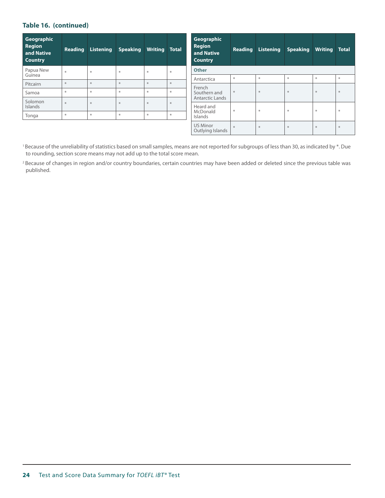#### **Table 16. (continued)**

| Geographic<br><b>Region</b><br>and Native<br><b>Country</b> | Reading                                              | Listening | <b>Speaking</b> | <b>Writing Total</b>                                 |                         | Geographic<br><b>Region</b><br>and Native<br><b>Country</b> | <b>Reading</b>   | <b>Listening</b>         | <b>Speaking</b>             | <b>Writing</b>                  | <b>Total</b>                                        |
|-------------------------------------------------------------|------------------------------------------------------|-----------|-----------------|------------------------------------------------------|-------------------------|-------------------------------------------------------------|------------------|--------------------------|-----------------------------|---------------------------------|-----------------------------------------------------|
| Papua New                                                   | ¥.                                                   | *         | $\frac{1}{N}$   | $\frac{\partial \mathcal{L}}{\partial \mathbf{r}^*}$ | $\frac{1}{2}$           | <b>Other</b>                                                |                  |                          |                             |                                 |                                                     |
| Guinea                                                      |                                                      |           |                 |                                                      |                         | Antarctica                                                  | $\ast$           | $\boldsymbol{\varkappa}$ | 圣                           | $\frac{\partial f}{\partial t}$ | $\frac{\partial \mathcal{L}}{\partial \mathcal{L}}$ |
| Pitcairn                                                    | $\frac{\Delta E}{\Delta V}$                          | *         | $\ast$          | $\frac{1}{2}$                                        | $\ast$<br>$\frac{1}{2}$ | French                                                      | $\divideontimes$ | $\boldsymbol{\varkappa}$ | $\frac{\Delta V}{\Delta V}$ | $\frac{N}{N}$                   | $\ast$                                              |
| Samoa                                                       | $\frac{\partial f}{\partial t}$                      | $\ast$    | $\ast$          | $\ast$                                               |                         | Southern and<br>Antarctic Lands                             |                  |                          |                             |                                 |                                                     |
| Solomon                                                     | $\frac{\partial \mathcal{L}}{\partial \mathbf{r}^*}$ | $\ast$    | $\ast$          | $\frac{1}{2}$                                        | $\ast$                  |                                                             |                  |                          |                             |                                 |                                                     |
| Islands                                                     |                                                      |           |                 |                                                      |                         | Heard and                                                   | $\ast$           | $\ast$                   | 圣                           | $\ast$                          | $\frac{\partial \mathcal{L}}{\partial \mathcal{L}}$ |
| Tonga                                                       | $\frac{\partial f}{\partial t}$                      | ₩         | $\frac{1}{N}$   | $\ast$                                               |                         | McDonald<br>Islands                                         |                  |                          |                             |                                 |                                                     |
|                                                             |                                                      |           |                 |                                                      |                         | <b>US Minor</b><br>Outlying Islands                         | $\frac{1}{2}$    | $\boldsymbol{\varkappa}$ | 圣                           | $\ast$                          | 圣                                                   |

<sup>1</sup> Because of the unreliability of statistics based on small samples, means are not reported for subgroups of less than 30, as indicated by \*. Due to rounding, section score means may not add up to the total score mean.

<sup>2</sup> Because of changes in region and/or country boundaries, certain countries may have been added or deleted since the previous table was published.